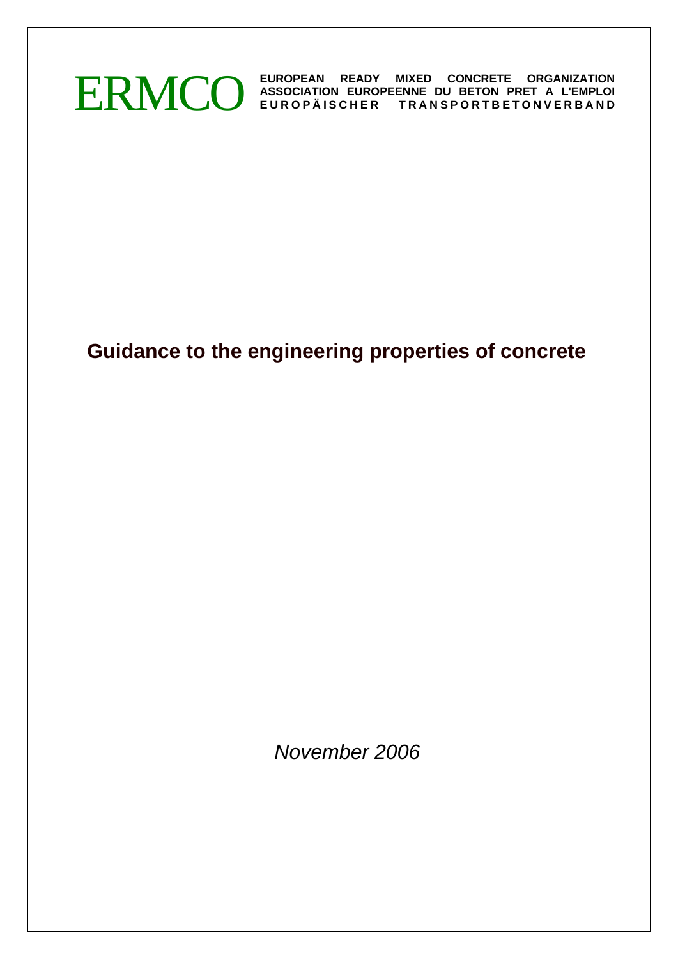

# **Guidance to the engineering properties of concrete**

*November 2006*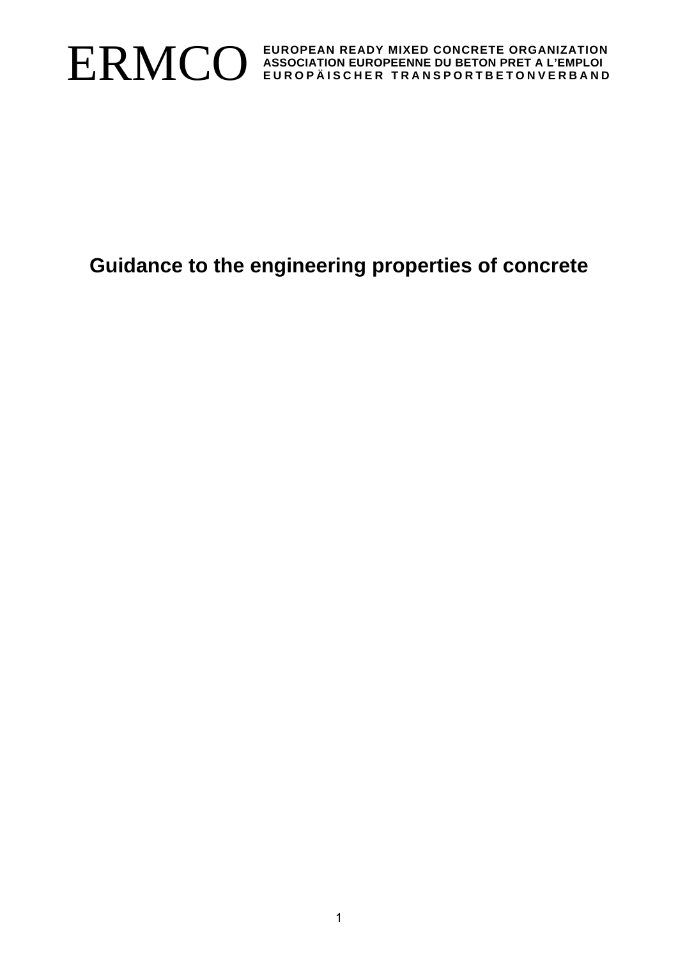

# **Guidance to the engineering properties of concrete**

1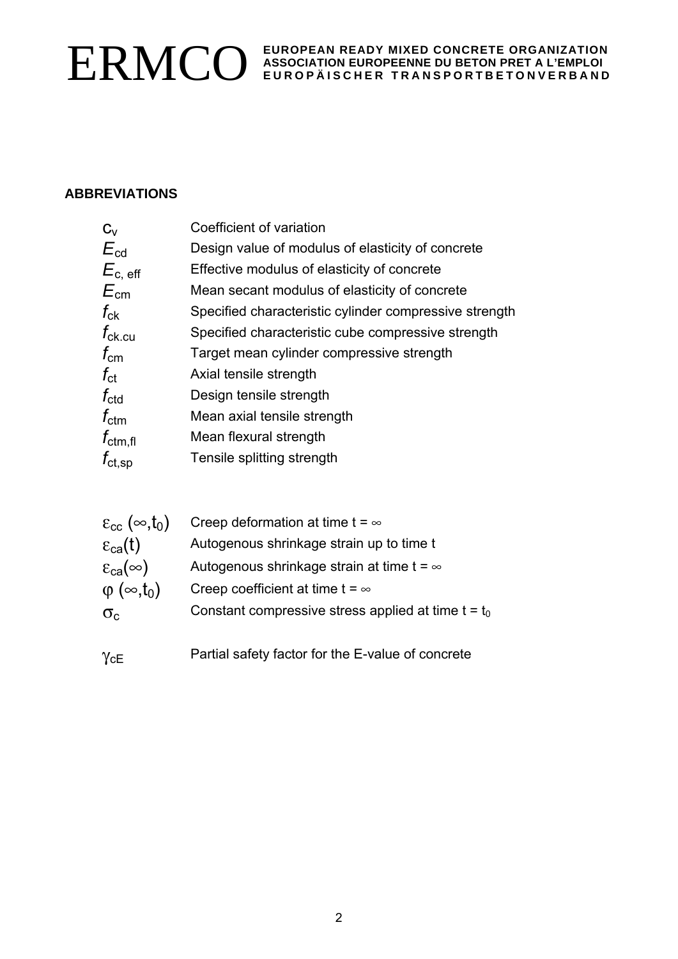# **ABBREVIATIONS**

| $C_{V}$              | Coefficient of variation                               |
|----------------------|--------------------------------------------------------|
| $E_{\text{cd}}$      | Design value of modulus of elasticity of concrete      |
| $E_{c, \text{ eff}}$ | Effective modulus of elasticity of concrete            |
| $E_{\rm cm}$         | Mean secant modulus of elasticity of concrete          |
| $f_{ck}$             | Specified characteristic cylinder compressive strength |
| $f_{\rm ck,cu}$      | Specified characteristic cube compressive strength     |
| $f_{\rm cm}$         | Target mean cylinder compressive strength              |
| $f_{\rm ct}$         | Axial tensile strength                                 |
| $f_{\rm ctd}$        | Design tensile strength                                |
| $f_{\text{ctm}}$     | Mean axial tensile strength                            |
| $f_{\text{ctm,fl}}$  | Mean flexural strength                                 |
| $f_{\rm ct, sp}$     | Tensile splitting strength                             |
|                      |                                                        |

| $\varepsilon_{\rm cc}$ ( $\infty$ ,t <sub>0</sub> ) | Creep deformation at time $t = \infty$                |
|-----------------------------------------------------|-------------------------------------------------------|
| $\epsilon_{ca}(t)$                                  | Autogenous shrinkage strain up to time t              |
| $\varepsilon_{\rm ca}(\infty)$                      | Autogenous shrinkage strain at time $t = \infty$      |
| $\varphi$ ( $\infty$ ,t <sub>0</sub> )              | Creep coefficient at time t = $\infty$                |
| $\sigma_{c}$                                        | Constant compressive stress applied at time $t = t_0$ |
|                                                     |                                                       |

γcE Partial safety factor for the E-value of concrete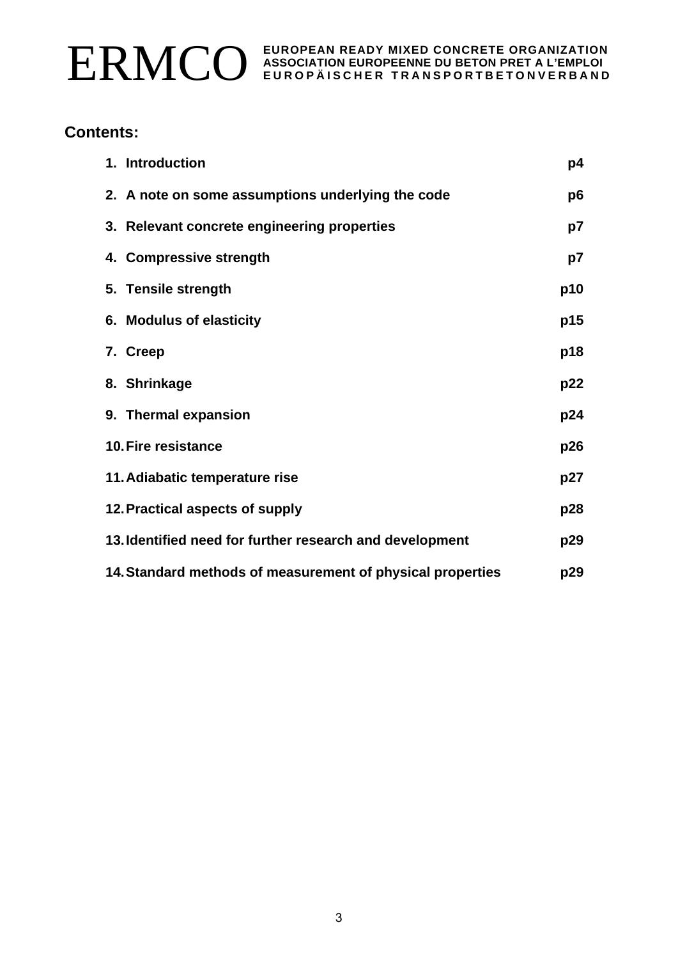

# **Contents:**

| 1. Introduction                                                   | p4  |  |  |  |
|-------------------------------------------------------------------|-----|--|--|--|
| 2. A note on some assumptions underlying the code                 | p6  |  |  |  |
| 3. Relevant concrete engineering properties                       | p7  |  |  |  |
| 4. Compressive strength                                           | p7  |  |  |  |
| 5. Tensile strength                                               | p10 |  |  |  |
| 6. Modulus of elasticity                                          | p15 |  |  |  |
| 7. Creep                                                          | p18 |  |  |  |
| 8. Shrinkage                                                      | p22 |  |  |  |
| 9. Thermal expansion                                              | p24 |  |  |  |
| 10. Fire resistance                                               | p26 |  |  |  |
| 11. Adiabatic temperature rise                                    | p27 |  |  |  |
| 12. Practical aspects of supply<br>p28                            |     |  |  |  |
| 13. Identified need for further research and development          | p29 |  |  |  |
| 14. Standard methods of measurement of physical properties<br>p29 |     |  |  |  |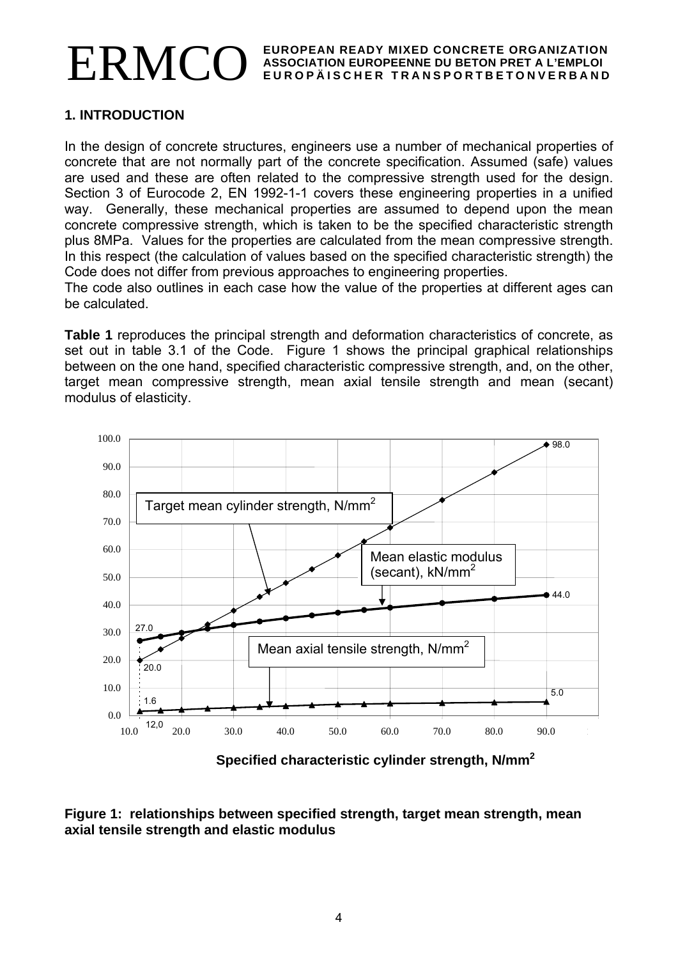# **1. INTRODUCTION**

In the design of concrete structures, engineers use a number of mechanical properties of concrete that are not normally part of the concrete specification. Assumed (safe) values are used and these are often related to the compressive strength used for the design. Section 3 of Eurocode 2, EN 1992-1-1 covers these engineering properties in a unified way. Generally, these mechanical properties are assumed to depend upon the mean concrete compressive strength, which is taken to be the specified characteristic strength plus 8MPa. Values for the properties are calculated from the mean compressive strength. In this respect (the calculation of values based on the specified characteristic strength) the Code does not differ from previous approaches to engineering properties.

The code also outlines in each case how the value of the properties at different ages can be calculated.

**Table 1** reproduces the principal strength and deformation characteristics of concrete, as set out in table 3.1 of the Code. Figure 1 shows the principal graphical relationships between on the one hand, specified characteristic compressive strength, and, on the other, target mean compressive strength, mean axial tensile strength and mean (secant) modulus of elasticity.



**Specified characteristic cylinder strength, N/mm2**

**Figure 1: relationships between specified strength, target mean strength, mean axial tensile strength and elastic modulus**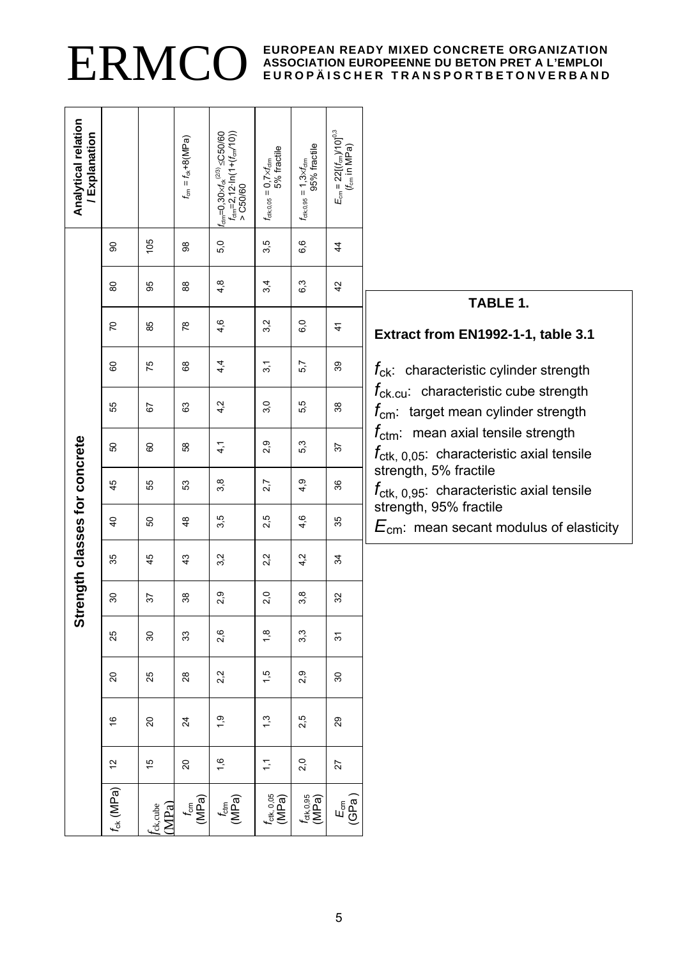| Analytical relation<br>/ Explanation |                 |                   | $t_{\rm cm} = t_{\rm ck} + 8(\text{MPa})$ | $\begin{cases} t_{\rm dm} = 0.30 \times t_{\rm sk}^{(2/3)} \leq C 50/60 \\ t_{\rm dm} = 2, 12 \cdot \ln(1 + (t_{\rm cm}/10)) \\ > C 50/60 \end{cases}$ | $t_{\text{ctx0,05}} = 0.7 \times t_{\text{dm}}$<br>5% fractile | 95% fractile<br>$f_{\text{ctx,0,95}} = 1,3 \times f_{\text{ctm}}$ | $E_{\rm cm}$ = 22[( $t_{\rm cm}$ )/10] <sup>0,3</sup><br>( $t_{\rm cm}$ in MPa) |                                                                                                       |
|--------------------------------------|-----------------|-------------------|-------------------------------------------|--------------------------------------------------------------------------------------------------------------------------------------------------------|----------------------------------------------------------------|-------------------------------------------------------------------|---------------------------------------------------------------------------------|-------------------------------------------------------------------------------------------------------|
|                                      | 8               | 105               | 86                                        | 5,0                                                                                                                                                    | 3,5                                                            | 6,6                                                               | $\frac{4}{4}$                                                                   |                                                                                                       |
|                                      | 80              | 95                | $_{88}^{\circ}$                           | 4,8                                                                                                                                                    | 3,4                                                            | $6\overline{3}$                                                   | 42                                                                              | TABLE 1.                                                                                              |
|                                      | $\overline{C}$  | 85                | $78$                                      | 4,6                                                                                                                                                    | 3,2                                                            | 6,0                                                               | $\frac{4}{1}$                                                                   | Extract from EN1992-1-1, table 3.1                                                                    |
|                                      | 8               | 75                | $\rm ^{8}$                                | 4,4                                                                                                                                                    | $\overline{3}$ , 1                                             | 5,7                                                               | 39                                                                              | $f_{ck}$ : characteristic cylinder strength                                                           |
|                                      | 55              | 57                | 63                                        | 4.2                                                                                                                                                    | 3,0                                                            | 5,5                                                               | $38\,$                                                                          | $f_{\text{ck.cu}}$ characteristic cube strength<br>$f_{\rm cm}$ : target mean cylinder strength       |
|                                      | 8               | 60                | 58                                        | $\frac{4}{1}$                                                                                                                                          | 2,9                                                            | 5,3                                                               | 57                                                                              | $f_{\text{ctm}}$ mean axial tensile strength<br>$f_{\text{ctk, 0,05}}$ : characteristic axial tensile |
|                                      | 45              | 55                | 53                                        | 3,8                                                                                                                                                    | 2,7                                                            | 4,9                                                               | strength, 5% fractile<br>36                                                     | $f_{\text{ctk, 0,95}}$ : characteristic axial tensile                                                 |
|                                      | $\overline{a}$  | 50                | $\frac{8}{3}$                             | 3,5                                                                                                                                                    | 2.5                                                            | 4,6                                                               | 35                                                                              | strength, 95% fractile<br>$E_{\text{cm}}$ : mean secant modulus of elasticity                         |
| Strength classes for concrete        | 35              | 45                | $\frac{3}{4}$                             | 3,2                                                                                                                                                    | 2.2                                                            | 4 <sub>2</sub>                                                    | ¥                                                                               |                                                                                                       |
|                                      | $\overline{30}$ | 57                | $38\,$                                    | 2,9                                                                                                                                                    | 2,0                                                            | 3,8                                                               | 32                                                                              |                                                                                                       |
|                                      | 25              | 80                | 33                                        | 2,6                                                                                                                                                    | $\frac{8}{1}$                                                  | 3,3                                                               | 5                                                                               |                                                                                                       |
|                                      | $\overline{c}$  | 25                | $28$                                      | 2,2                                                                                                                                                    | 1,5                                                            | 2,9                                                               | $\boldsymbol{S}$                                                                |                                                                                                       |
|                                      | $\frac{6}{5}$   | $\overline{c}$    | $\overline{24}$                           | $\ddot{ }$                                                                                                                                             | $\ddot{.}$                                                     | 2,5                                                               | 29                                                                              |                                                                                                       |
|                                      | $\frac{2}{3}$   | 15                | $\overline{c}$                            | $\frac{6}{1}$                                                                                                                                          | $\tilde{L}$                                                    | 2,0                                                               | 27                                                                              |                                                                                                       |
|                                      | $f_{ck}$ (MPa)  | fck,cube<br>(MPa) | $\frac{f_{\text{cm}}}{\text{(MPa)}}$      | t <sub>am</sub><br>(MPa)                                                                                                                               | $f_{\rm ctk, 0,05}$<br>(MPa)                                   | $f_{\rm ctk,0.95}$<br>(MPa)                                       | $E_{\text{eff}}$ a)                                                             |                                                                                                       |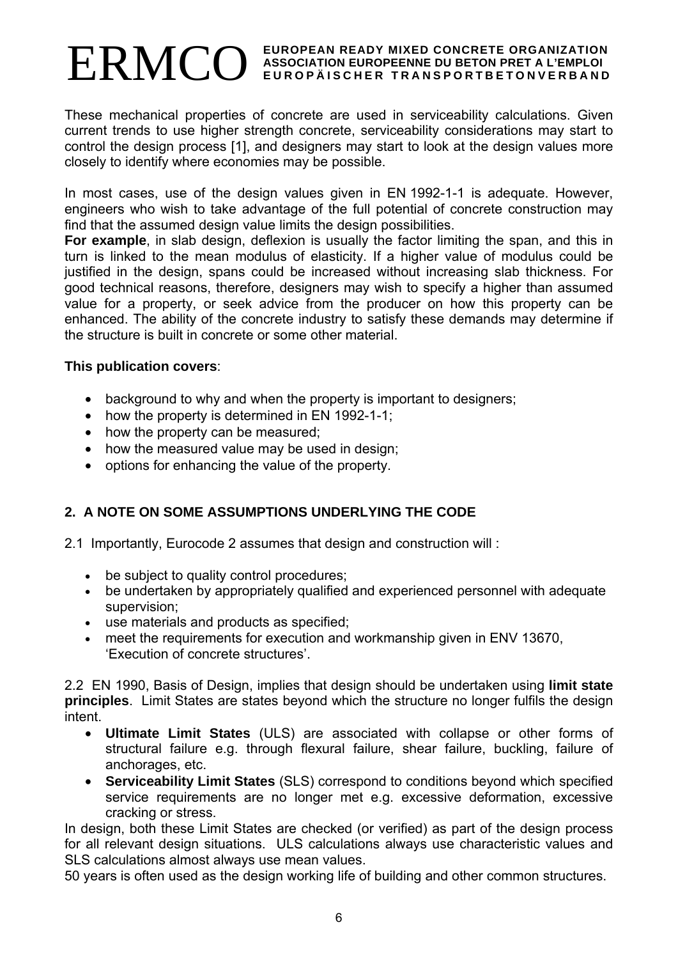These mechanical properties of concrete are used in serviceability calculations. Given current trends to use higher strength concrete, serviceability considerations may start to control the design process [1], and designers may start to look at the design values more closely to identify where economies may be possible.

In most cases, use of the design values given in EN 1992-1-1 is adequate. However, engineers who wish to take advantage of the full potential of concrete construction may find that the assumed design value limits the design possibilities.

**For example**, in slab design, deflexion is usually the factor limiting the span, and this in turn is linked to the mean modulus of elasticity. If a higher value of modulus could be justified in the design, spans could be increased without increasing slab thickness. For good technical reasons, therefore, designers may wish to specify a higher than assumed value for a property, or seek advice from the producer on how this property can be enhanced. The ability of the concrete industry to satisfy these demands may determine if the structure is built in concrete or some other material.

#### **This publication covers**:

- background to why and when the property is important to designers;
- how the property is determined in EN 1992-1-1;
- how the property can be measured:
- how the measured value may be used in design;
- options for enhancing the value of the property.

# **2. A NOTE ON SOME ASSUMPTIONS UNDERLYING THE CODE**

- 2.1 Importantly, Eurocode 2 assumes that design and construction will :
	- be subject to quality control procedures;
	- be undertaken by appropriately qualified and experienced personnel with adequate supervision;
	- use materials and products as specified;
	- meet the requirements for execution and workmanship given in ENV 13670, 'Execution of concrete structures'.

2.2 EN 1990, Basis of Design, implies that design should be undertaken using **limit state principles**. Limit States are states beyond which the structure no longer fulfils the design intent.

- **Ultimate Limit States** (ULS) are associated with collapse or other forms of structural failure e.g. through flexural failure, shear failure, buckling, failure of anchorages, etc.
- **Serviceability Limit States** (SLS) correspond to conditions beyond which specified service requirements are no longer met e.g. excessive deformation, excessive cracking or stress.

In design, both these Limit States are checked (or verified) as part of the design process for all relevant design situations. ULS calculations always use characteristic values and SLS calculations almost always use mean values.

50 years is often used as the design working life of building and other common structures.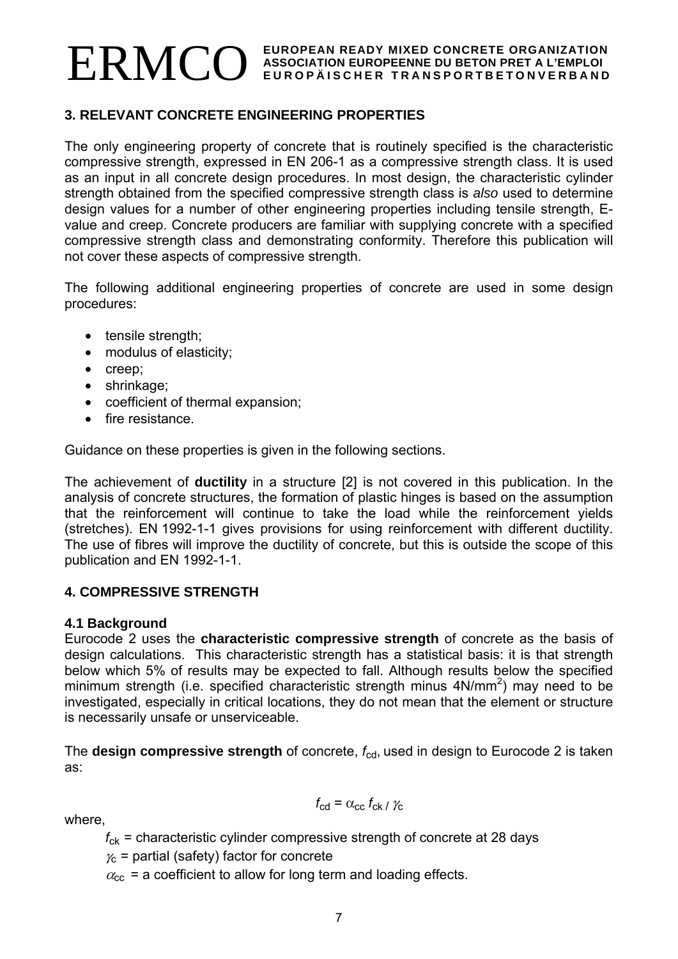# **3. RELEVANT CONCRETE ENGINEERING PROPERTIES**

The only engineering property of concrete that is routinely specified is the characteristic compressive strength, expressed in EN 206-1 as a compressive strength class. It is used as an input in all concrete design procedures. In most design, the characteristic cylinder strength obtained from the specified compressive strength class is *also* used to determine design values for a number of other engineering properties including tensile strength, Evalue and creep. Concrete producers are familiar with supplying concrete with a specified compressive strength class and demonstrating conformity. Therefore this publication will not cover these aspects of compressive strength.

The following additional engineering properties of concrete are used in some design procedures:

- tensile strength;
- modulus of elasticity;
- creep;
- shrinkage;
- coefficient of thermal expansion;
- fire resistance.

Guidance on these properties is given in the following sections.

The achievement of **ductility** in a structure [2] is not covered in this publication. In the analysis of concrete structures, the formation of plastic hinges is based on the assumption that the reinforcement will continue to take the load while the reinforcement yields (stretches). EN 1992-1-1 gives provisions for using reinforcement with different ductility. The use of fibres will improve the ductility of concrete, but this is outside the scope of this publication and EN 1992-1-1.

# **4. COMPRESSIVE STRENGTH**

#### **4.1 Background**

Eurocode 2 uses the **characteristic compressive strength** of concrete as the basis of design calculations. This characteristic strength has a statistical basis: it is that strength below which 5% of results may be expected to fall. Although results below the specified minimum strength (i.e. specified characteristic strength minus  $4N/mm^2$ ) may need to be investigated, especially in critical locations, they do not mean that the element or structure is necessarily unsafe or unserviceable.

The **design compressive strength** of concrete,  $f_{\text{cd}}$ , used in design to Eurocode 2 is taken as:

 $f_{\rm cd} = \alpha_{\rm cc} f_{\rm ck} / \gamma_{\rm c}$ 

where,

*f*ck = characteristic cylinder compressive strength of concrete at 28 days

 $\gamma_c$  = partial (safety) factor for concrete

 $\alpha_{\rm cc}$  = a coefficient to allow for long term and loading effects.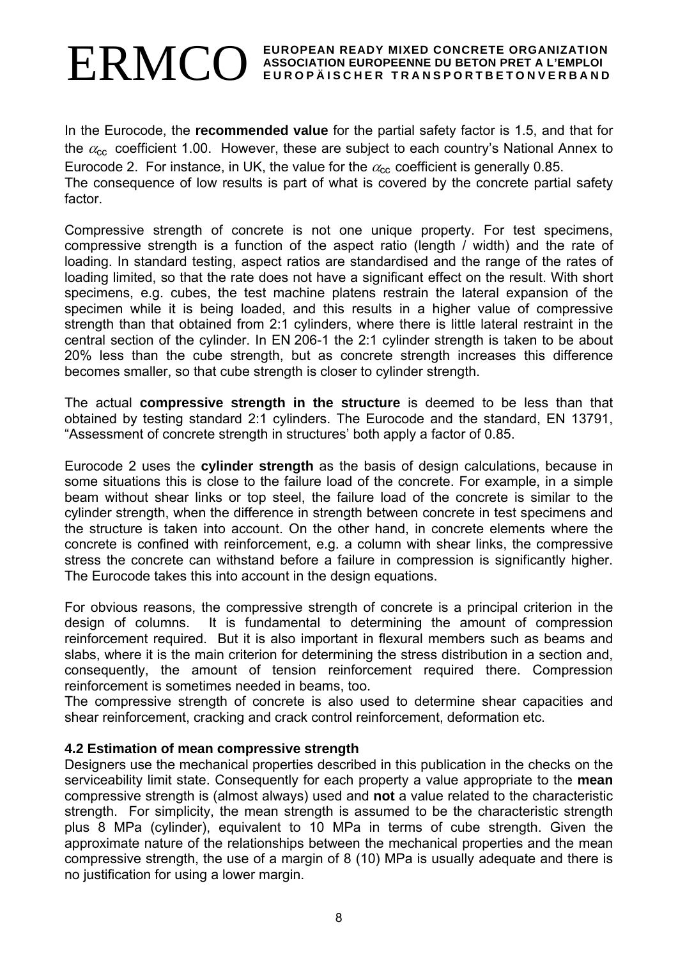In the Eurocode, the **recommended value** for the partial safety factor is 1.5, and that for the  $\alpha_{\rm cc}$  coefficient 1.00. However, these are subject to each country's National Annex to Eurocode 2. For instance, in UK, the value for the  $\alpha_{\rm cc}$  coefficient is generally 0.85. The consequence of low results is part of what is covered by the concrete partial safety factor.

Compressive strength of concrete is not one unique property. For test specimens, compressive strength is a function of the aspect ratio (length / width) and the rate of loading. In standard testing, aspect ratios are standardised and the range of the rates of loading limited, so that the rate does not have a significant effect on the result. With short specimens, e.g. cubes, the test machine platens restrain the lateral expansion of the specimen while it is being loaded, and this results in a higher value of compressive strength than that obtained from 2:1 cylinders, where there is little lateral restraint in the central section of the cylinder. In EN 206-1 the 2:1 cylinder strength is taken to be about 20% less than the cube strength, but as concrete strength increases this difference becomes smaller, so that cube strength is closer to cylinder strength.

The actual **compressive strength in the structure** is deemed to be less than that obtained by testing standard 2:1 cylinders. The Eurocode and the standard, EN 13791, "Assessment of concrete strength in structures' both apply a factor of 0.85.

Eurocode 2 uses the **cylinder strength** as the basis of design calculations, because in some situations this is close to the failure load of the concrete. For example, in a simple beam without shear links or top steel, the failure load of the concrete is similar to the cylinder strength, when the difference in strength between concrete in test specimens and the structure is taken into account. On the other hand, in concrete elements where the concrete is confined with reinforcement, e.g. a column with shear links, the compressive stress the concrete can withstand before a failure in compression is significantly higher. The Eurocode takes this into account in the design equations.

For obvious reasons, the compressive strength of concrete is a principal criterion in the design of columns. It is fundamental to determining the amount of compression reinforcement required. But it is also important in flexural members such as beams and slabs, where it is the main criterion for determining the stress distribution in a section and, consequently, the amount of tension reinforcement required there. Compression reinforcement is sometimes needed in beams, too.

The compressive strength of concrete is also used to determine shear capacities and shear reinforcement, cracking and crack control reinforcement, deformation etc.

#### **4.2 Estimation of mean compressive strength**

Designers use the mechanical properties described in this publication in the checks on the serviceability limit state. Consequently for each property a value appropriate to the **mean** compressive strength is (almost always) used and **not** a value related to the characteristic strength. For simplicity, the mean strength is assumed to be the characteristic strength plus 8 MPa (cylinder), equivalent to 10 MPa in terms of cube strength. Given the approximate nature of the relationships between the mechanical properties and the mean compressive strength, the use of a margin of 8 (10) MPa is usually adequate and there is no justification for using a lower margin.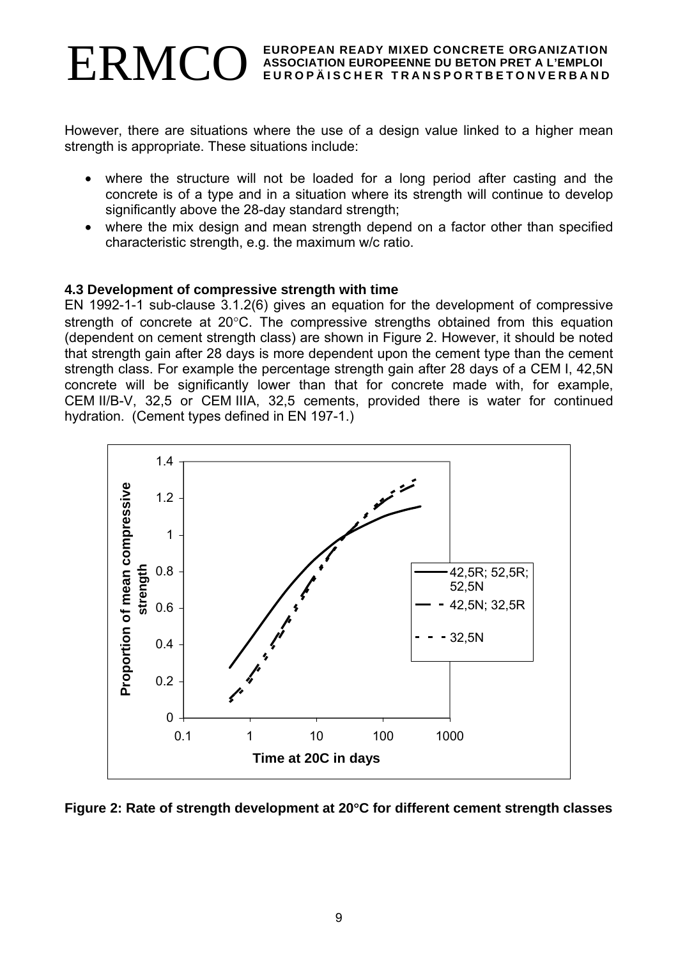#### EUROPEAN READY MIXED CONCRETE ORGANIZATION **EUROPEAN READY MIXED CONCRETE ORGANIZATION ASSOCIATION EUROPEENNE DU BETON PRET A L'EMPLOI EUROPÄISCHER TRANSPORTBETONVERBAND**

However, there are situations where the use of a design value linked to a higher mean strength is appropriate. These situations include:

- where the structure will not be loaded for a long period after casting and the concrete is of a type and in a situation where its strength will continue to develop significantly above the 28-day standard strength;
- where the mix design and mean strength depend on a factor other than specified characteristic strength, e.g. the maximum w/c ratio.

#### **4.3 Development of compressive strength with time**

EN 1992-1-1 sub-clause 3.1.2(6) gives an equation for the development of compressive strength of concrete at 20°C. The compressive strengths obtained from this equation (dependent on cement strength class) are shown in Figure 2. However, it should be noted that strength gain after 28 days is more dependent upon the cement type than the cement strength class. For example the percentage strength gain after 28 days of a CEM I, 42,5N concrete will be significantly lower than that for concrete made with, for example, CEM II/B-V, 32,5 or CEM IIIA, 32,5 cements, provided there is water for continued hydration. (Cement types defined in EN 197-1.)



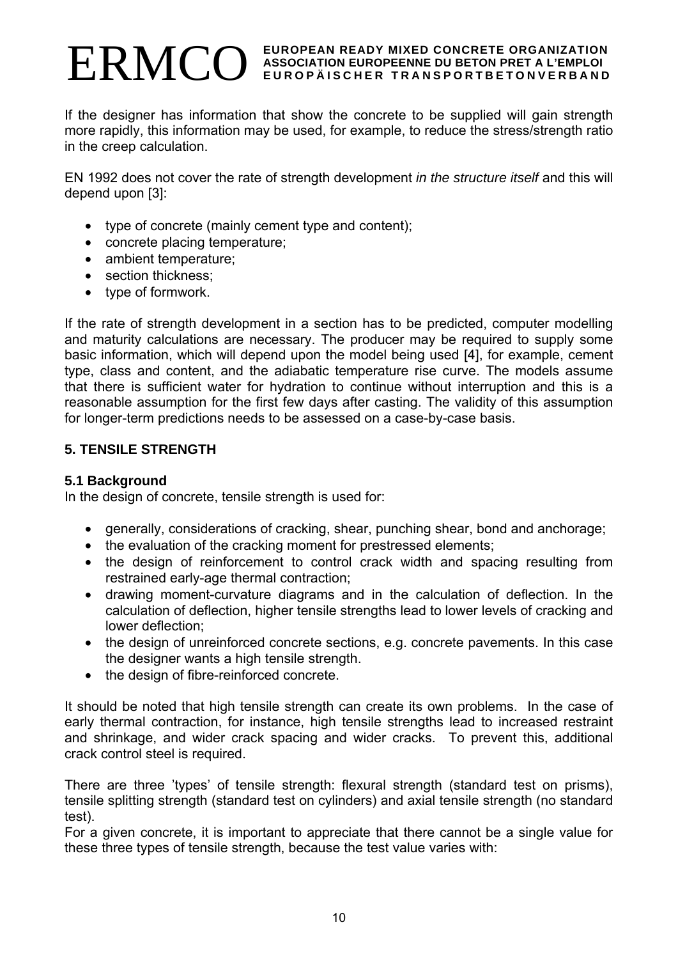If the designer has information that show the concrete to be supplied will gain strength more rapidly, this information may be used, for example, to reduce the stress/strength ratio in the creep calculation.

EN 1992 does not cover the rate of strength development *in the structure itself* and this will depend upon [3]:

- type of concrete (mainly cement type and content);
- concrete placing temperature;
- ambient temperature;
- section thickness:
- type of formwork.

If the rate of strength development in a section has to be predicted, computer modelling and maturity calculations are necessary. The producer may be required to supply some basic information, which will depend upon the model being used [4], for example, cement type, class and content, and the adiabatic temperature rise curve. The models assume that there is sufficient water for hydration to continue without interruption and this is a reasonable assumption for the first few days after casting. The validity of this assumption for longer-term predictions needs to be assessed on a case-by-case basis.

# **5. TENSILE STRENGTH**

#### **5.1 Background**

In the design of concrete, tensile strength is used for:

- generally, considerations of cracking, shear, punching shear, bond and anchorage;
- the evaluation of the cracking moment for prestressed elements;
- the design of reinforcement to control crack width and spacing resulting from restrained early-age thermal contraction;
- drawing moment-curvature diagrams and in the calculation of deflection. In the calculation of deflection, higher tensile strengths lead to lower levels of cracking and lower deflection;
- the design of unreinforced concrete sections, e.g. concrete pavements. In this case the designer wants a high tensile strength.
- the design of fibre-reinforced concrete.

It should be noted that high tensile strength can create its own problems. In the case of early thermal contraction, for instance, high tensile strengths lead to increased restraint and shrinkage, and wider crack spacing and wider cracks. To prevent this, additional crack control steel is required.

There are three 'types' of tensile strength: flexural strength (standard test on prisms), tensile splitting strength (standard test on cylinders) and axial tensile strength (no standard test).

For a given concrete, it is important to appreciate that there cannot be a single value for these three types of tensile strength, because the test value varies with: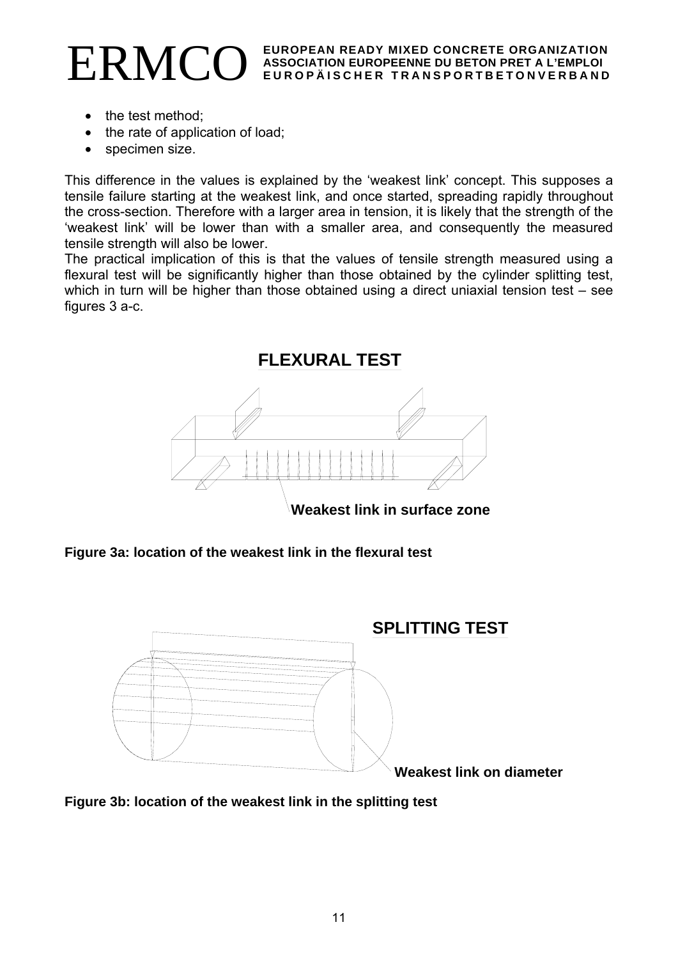- the test method;
- the rate of application of load;
- specimen size.

This difference in the values is explained by the 'weakest link' concept. This supposes a tensile failure starting at the weakest link, and once started, spreading rapidly throughout the cross-section. Therefore with a larger area in tension, it is likely that the strength of the 'weakest link' will be lower than with a smaller area, and consequently the measured tensile strength will also be lower.

The practical implication of this is that the values of tensile strength measured using a flexural test will be significantly higher than those obtained by the cylinder splitting test, which in turn will be higher than those obtained using a direct uniaxial tension test – see figures 3 a-c.



**Figure 3a: location of the weakest link in the flexural test** 



**Figure 3b: location of the weakest link in the splitting test**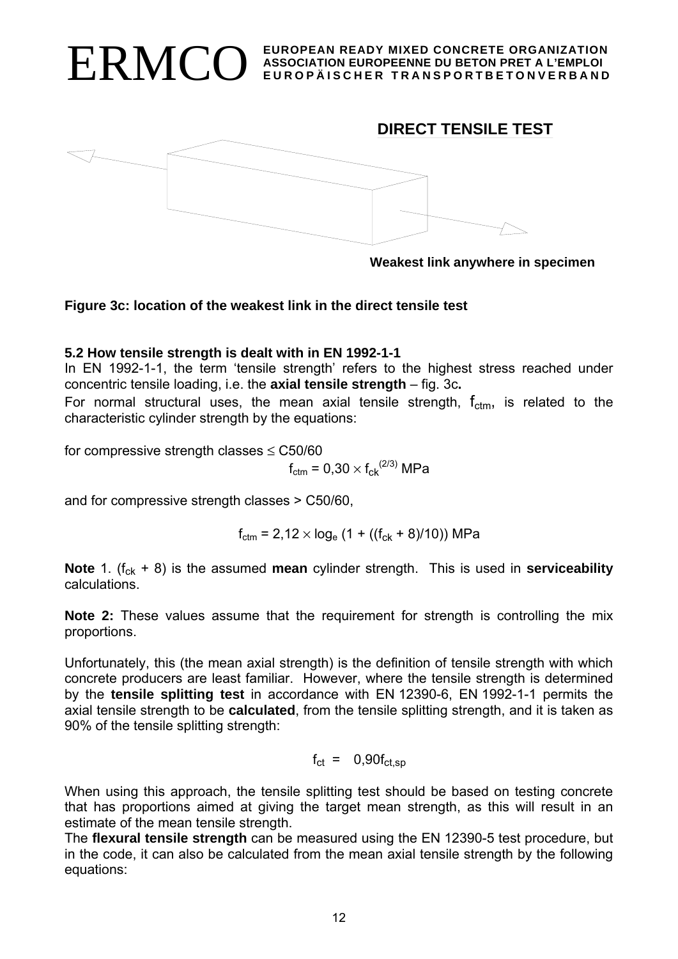



**Weakest link anywhere in specimen**

#### **Figure 3c: location of the weakest link in the direct tensile test**

#### **5.2 How tensile strength is dealt with in EN 1992-1-1**

In EN 1992-1-1, the term 'tensile strength' refers to the highest stress reached under concentric tensile loading, i.e. the **axial tensile strength** – fig. 3c**.**

For normal structural uses, the mean axial tensile strength,  $f_{\text{ctm}}$ , is related to the characteristic cylinder strength by the equations:

for compressive strength classes  $\leq$  C50/60

$$
f_{\rm ctm} = 0.30 \times f_{\rm ck}^{(2/3)}
$$
 MPa

and for compressive strength classes > C50/60,

 $f_{\text{ctm}} = 2.12 \times \log_e (1 + ((f_{\text{ck}} + 8)/10))$  MPa

**Note** 1. ( $f_{ck}$  + 8) is the assumed **mean** cylinder strength. This is used in **serviceability** calculations.

**Note 2:** These values assume that the requirement for strength is controlling the mix proportions.

Unfortunately, this (the mean axial strength) is the definition of tensile strength with which concrete producers are least familiar. However, where the tensile strength is determined by the **tensile splitting test** in accordance with EN 12390-6, EN 1992-1-1 permits the axial tensile strength to be **calculated**, from the tensile splitting strength, and it is taken as 90% of the tensile splitting strength:

$$
f_{\rm ct} = 0.90 f_{\rm ct, sp}
$$

When using this approach, the tensile splitting test should be based on testing concrete that has proportions aimed at giving the target mean strength, as this will result in an estimate of the mean tensile strength.

The **flexural tensile strength** can be measured using the EN 12390-5 test procedure, but in the code, it can also be calculated from the mean axial tensile strength by the following equations: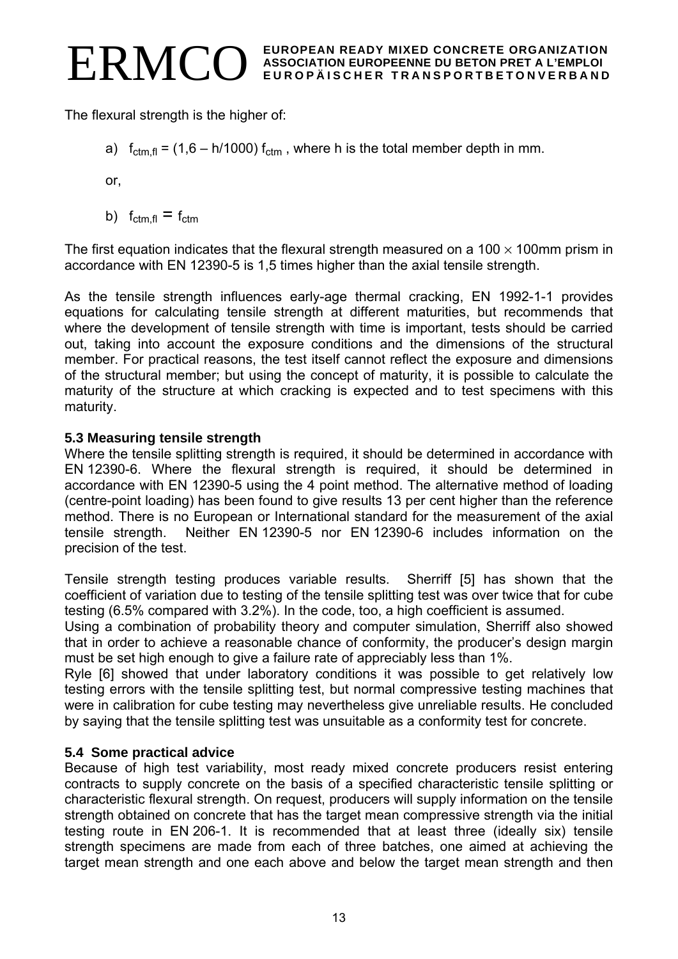EUROPEAN READY MIXED CONCRETE ORGANIZATION **EUROPEAN READY MIXED CONCRETE ORGANIZATION ASSOCIATION EUROPEENNE DU BETON PRET A L'EMPLOI EUROPÄISCHER TRANSPORTBETONVERBAND** 

The flexural strength is the higher of:

a)  $f_{\text{ctm,fl}} = (1,6 - h/1000) f_{\text{ctm}}$ , where h is the total member depth in mm.

or,

b)  $f_{\text{ctm,fl}} = f_{\text{ctm}}$ 

The first equation indicates that the flexural strength measured on a 100  $\times$  100mm prism in accordance with EN 12390-5 is 1,5 times higher than the axial tensile strength.

As the tensile strength influences early-age thermal cracking, EN 1992-1-1 provides equations for calculating tensile strength at different maturities, but recommends that where the development of tensile strength with time is important, tests should be carried out, taking into account the exposure conditions and the dimensions of the structural member. For practical reasons, the test itself cannot reflect the exposure and dimensions of the structural member; but using the concept of maturity, it is possible to calculate the maturity of the structure at which cracking is expected and to test specimens with this maturity.

# **5.3 Measuring tensile strength**

Where the tensile splitting strength is required, it should be determined in accordance with EN 12390-6. Where the flexural strength is required, it should be determined in accordance with EN 12390-5 using the 4 point method. The alternative method of loading (centre-point loading) has been found to give results 13 per cent higher than the reference method. There is no European or International standard for the measurement of the axial tensile strength. Neither EN 12390-5 nor EN 12390-6 includes information on the precision of the test.

Tensile strength testing produces variable results. Sherriff [5] has shown that the coefficient of variation due to testing of the tensile splitting test was over twice that for cube testing (6.5% compared with 3.2%). In the code, too, a high coefficient is assumed.

Using a combination of probability theory and computer simulation, Sherriff also showed that in order to achieve a reasonable chance of conformity, the producer's design margin must be set high enough to give a failure rate of appreciably less than 1%.

Ryle [6] showed that under laboratory conditions it was possible to get relatively low testing errors with the tensile splitting test, but normal compressive testing machines that were in calibration for cube testing may nevertheless give unreliable results. He concluded by saying that the tensile splitting test was unsuitable as a conformity test for concrete.

# **5.4 Some practical advice**

Because of high test variability, most ready mixed concrete producers resist entering contracts to supply concrete on the basis of a specified characteristic tensile splitting or characteristic flexural strength. On request, producers will supply information on the tensile strength obtained on concrete that has the target mean compressive strength via the initial testing route in EN 206-1. It is recommended that at least three (ideally six) tensile strength specimens are made from each of three batches, one aimed at achieving the target mean strength and one each above and below the target mean strength and then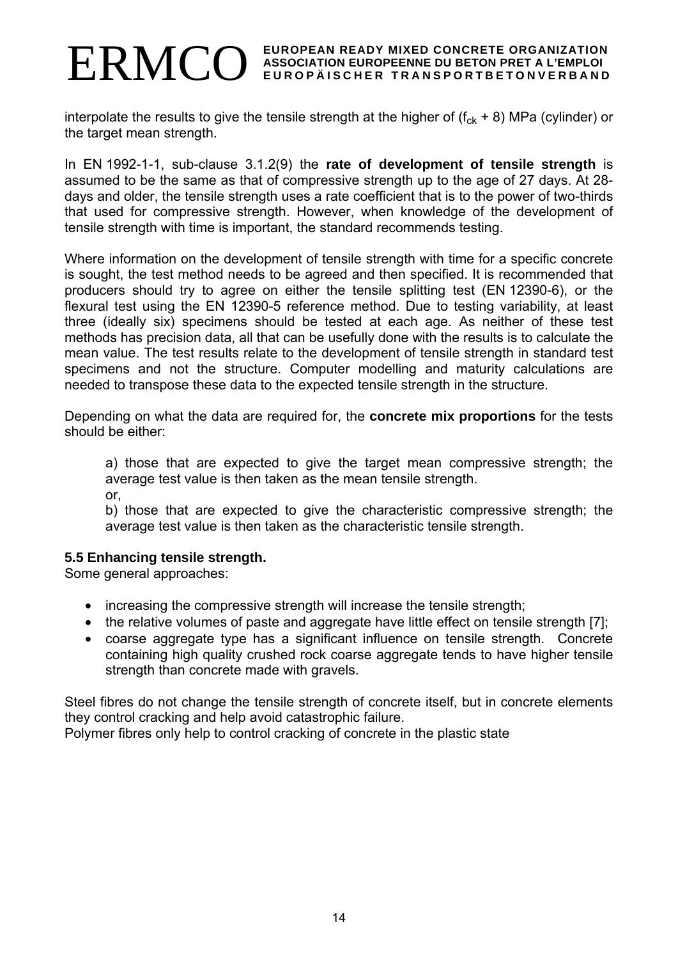interpolate the results to give the tensile strength at the higher of  $(f_{ck} + 8)$  MPa (cylinder) or the target mean strength.

In EN 1992-1-1, sub-clause 3.1.2(9) the **rate of development of tensile strength** is assumed to be the same as that of compressive strength up to the age of 27 days. At 28 days and older, the tensile strength uses a rate coefficient that is to the power of two-thirds that used for compressive strength. However, when knowledge of the development of tensile strength with time is important, the standard recommends testing.

Where information on the development of tensile strength with time for a specific concrete is sought, the test method needs to be agreed and then specified. It is recommended that producers should try to agree on either the tensile splitting test (EN 12390-6), or the flexural test using the EN 12390-5 reference method. Due to testing variability, at least three (ideally six) specimens should be tested at each age. As neither of these test methods has precision data, all that can be usefully done with the results is to calculate the mean value. The test results relate to the development of tensile strength in standard test specimens and not the structure. Computer modelling and maturity calculations are needed to transpose these data to the expected tensile strength in the structure.

Depending on what the data are required for, the **concrete mix proportions** for the tests should be either:

a) those that are expected to give the target mean compressive strength; the average test value is then taken as the mean tensile strength.

or,

b) those that are expected to give the characteristic compressive strength; the average test value is then taken as the characteristic tensile strength.

#### **5.5 Enhancing tensile strength.**

Some general approaches:

- increasing the compressive strength will increase the tensile strength;
- the relative volumes of paste and aggregate have little effect on tensile strength [7];
- coarse aggregate type has a significant influence on tensile strength. Concrete containing high quality crushed rock coarse aggregate tends to have higher tensile strength than concrete made with gravels.

Steel fibres do not change the tensile strength of concrete itself, but in concrete elements they control cracking and help avoid catastrophic failure.

Polymer fibres only help to control cracking of concrete in the plastic state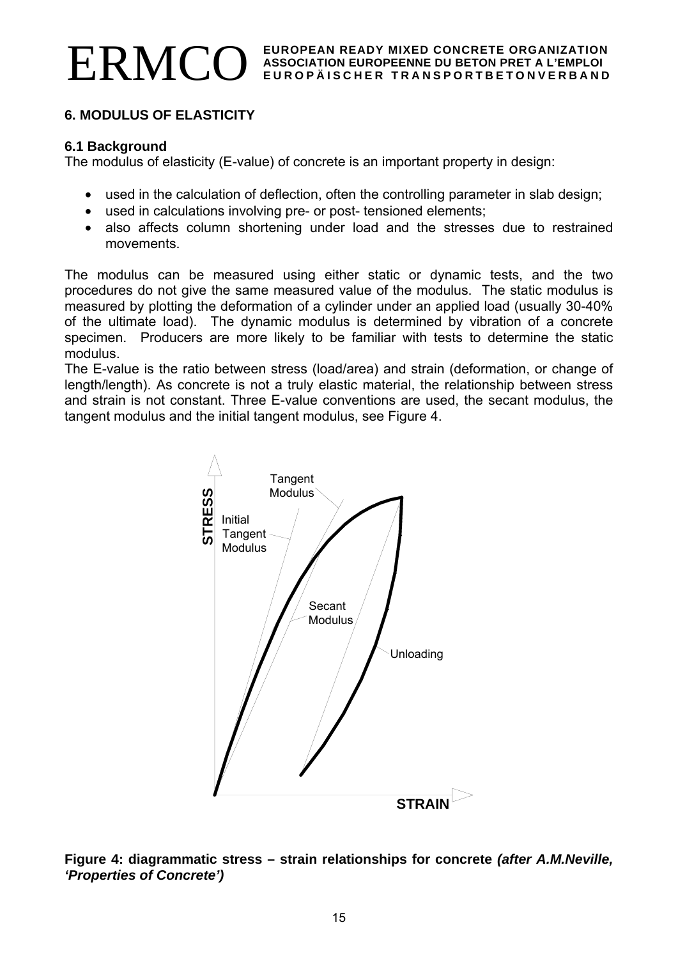# **6. MODULUS OF ELASTICITY**

#### **6.1 Background**

The modulus of elasticity (E-value) of concrete is an important property in design:

- used in the calculation of deflection, often the controlling parameter in slab design;
- used in calculations involving pre- or post- tensioned elements;
- also affects column shortening under load and the stresses due to restrained movements.

The modulus can be measured using either static or dynamic tests, and the two procedures do not give the same measured value of the modulus. The static modulus is measured by plotting the deformation of a cylinder under an applied load (usually 30-40% of the ultimate load). The dynamic modulus is determined by vibration of a concrete specimen. Producers are more likely to be familiar with tests to determine the static modulus.

The E-value is the ratio between stress (load/area) and strain (deformation, or change of length/length). As concrete is not a truly elastic material, the relationship between stress and strain is not constant. Three E-value conventions are used, the secant modulus, the tangent modulus and the initial tangent modulus, see Figure 4.



**Figure 4: diagrammatic stress – strain relationships for concrete** *(after A.M.Neville, 'Properties of Concrete')*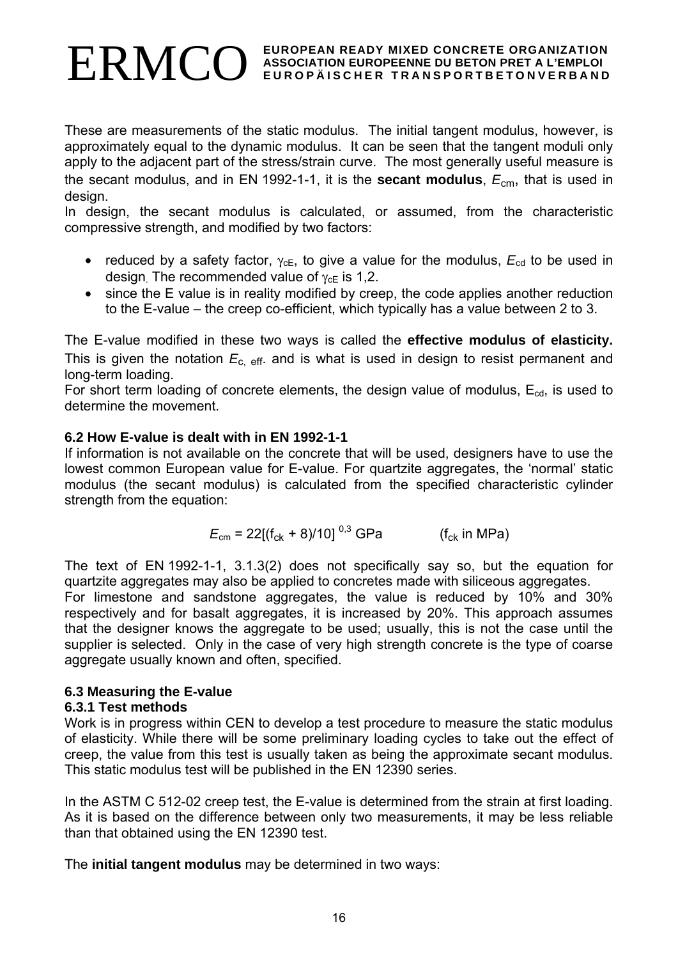These are measurements of the static modulus. The initial tangent modulus, however, is approximately equal to the dynamic modulus. It can be seen that the tangent moduli only apply to the adjacent part of the stress/strain curve. The most generally useful measure is the secant modulus, and in EN 1992-1-1, it is the **secant modulus**, *E*cm, that is used in design.

In design, the secant modulus is calculated, or assumed, from the characteristic compressive strength, and modified by two factors:

- reduced by a safety factor,  $\gamma_{cE}$ , to give a value for the modulus,  $E_{cd}$  to be used in design. The recommended value of  $\gamma_{\rm cE}$  is 1,2.
- since the E value is in reality modified by creep, the code applies another reduction to the E-value – the creep co-efficient, which typically has a value between 2 to 3.

The E-value modified in these two ways is called the **effective modulus of elasticity.** This is given the notation  $E_{c, eff.}$  and is what is used in design to resist permanent and long-term loading.

For short term loading of concrete elements, the design value of modulus,  $E_{cd}$ , is used to determine the movement.

# **6.2 How E-value is dealt with in EN 1992-1-1**

If information is not available on the concrete that will be used, designers have to use the lowest common European value for E-value. For quartzite aggregates, the 'normal' static modulus (the secant modulus) is calculated from the specified characteristic cylinder strength from the equation:

$$
E_{\rm cm} = 22[(f_{\rm ck} + 8)/10]^{0.3} \,\text{GPa} \qquad (f_{\rm ck} \text{ in MPa})
$$

The text of EN 1992-1-1, 3.1.3(2) does not specifically say so, but the equation for quartzite aggregates may also be applied to concretes made with siliceous aggregates.

For limestone and sandstone aggregates, the value is reduced by 10% and 30% respectively and for basalt aggregates, it is increased by 20%. This approach assumes that the designer knows the aggregate to be used; usually, this is not the case until the supplier is selected. Only in the case of very high strength concrete is the type of coarse aggregate usually known and often, specified.

#### **6.3 Measuring the E-value**

# **6.3.1 Test methods**

Work is in progress within CEN to develop a test procedure to measure the static modulus of elasticity. While there will be some preliminary loading cycles to take out the effect of creep, the value from this test is usually taken as being the approximate secant modulus. This static modulus test will be published in the EN 12390 series.

In the ASTM C 512-02 creep test, the E-value is determined from the strain at first loading. As it is based on the difference between only two measurements, it may be less reliable than that obtained using the EN 12390 test.

The **initial tangent modulus** may be determined in two ways: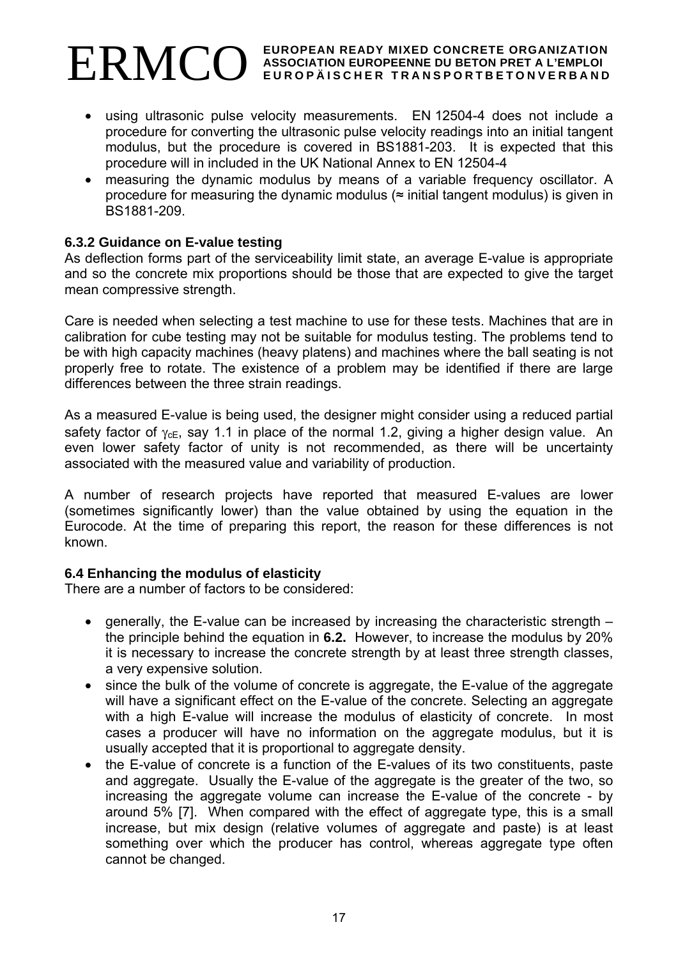- using ultrasonic pulse velocity measurements. EN 12504-4 does not include a procedure for converting the ultrasonic pulse velocity readings into an initial tangent modulus, but the procedure is covered in BS1881-203. It is expected that this procedure will in included in the UK National Annex to EN 12504-4
- measuring the dynamic modulus by means of a variable frequency oscillator. A procedure for measuring the dynamic modulus (≈ initial tangent modulus) is given in BS1881-209.

# **6.3.2 Guidance on E-value testing**

As deflection forms part of the serviceability limit state, an average E-value is appropriate and so the concrete mix proportions should be those that are expected to give the target mean compressive strength.

Care is needed when selecting a test machine to use for these tests. Machines that are in calibration for cube testing may not be suitable for modulus testing. The problems tend to be with high capacity machines (heavy platens) and machines where the ball seating is not properly free to rotate. The existence of a problem may be identified if there are large differences between the three strain readings.

As a measured E-value is being used, the designer might consider using a reduced partial safety factor of  $\gamma_{\text{cF}}$ , say 1.1 in place of the normal 1.2, giving a higher design value. An even lower safety factor of unity is not recommended, as there will be uncertainty associated with the measured value and variability of production.

A number of research projects have reported that measured E-values are lower (sometimes significantly lower) than the value obtained by using the equation in the Eurocode. At the time of preparing this report, the reason for these differences is not known.

#### **6.4 Enhancing the modulus of elasticity**

There are a number of factors to be considered:

- generally, the E-value can be increased by increasing the characteristic strength the principle behind the equation in **6.2.** However, to increase the modulus by 20% it is necessary to increase the concrete strength by at least three strength classes, a very expensive solution.
- since the bulk of the volume of concrete is aggregate, the E-value of the aggregate will have a significant effect on the E-value of the concrete. Selecting an aggregate with a high E-value will increase the modulus of elasticity of concrete. In most cases a producer will have no information on the aggregate modulus, but it is usually accepted that it is proportional to aggregate density.
- the E-value of concrete is a function of the E-values of its two constituents, paste and aggregate. Usually the E-value of the aggregate is the greater of the two, so increasing the aggregate volume can increase the E-value of the concrete - by around 5% [7]. When compared with the effect of aggregate type, this is a small increase, but mix design (relative volumes of aggregate and paste) is at least something over which the producer has control, whereas aggregate type often cannot be changed.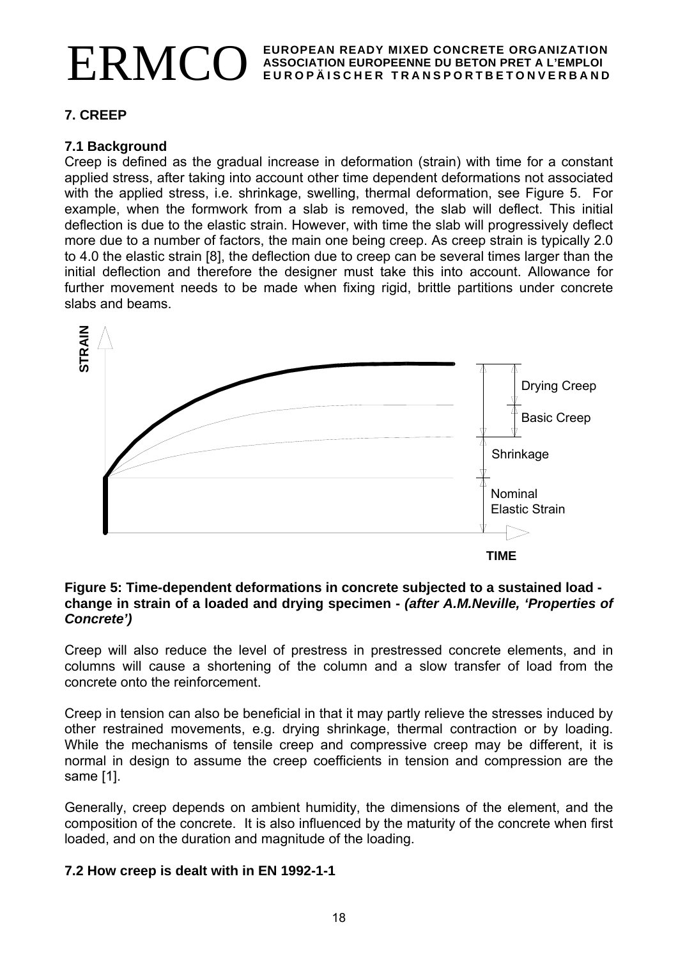# **7. CREEP**

#### **7.1 Background**

Creep is defined as the gradual increase in deformation (strain) with time for a constant applied stress, after taking into account other time dependent deformations not associated with the applied stress, i.e. shrinkage, swelling, thermal deformation, see Figure 5. For example, when the formwork from a slab is removed, the slab will deflect. This initial deflection is due to the elastic strain. However, with time the slab will progressively deflect more due to a number of factors, the main one being creep. As creep strain is typically 2.0 to 4.0 the elastic strain [8], the deflection due to creep can be several times larger than the initial deflection and therefore the designer must take this into account. Allowance for further movement needs to be made when fixing rigid, brittle partitions under concrete slabs and beams.



#### **Figure 5: Time-dependent deformations in concrete subjected to a sustained load change in strain of a loaded and drying specimen -** *(after A.M.Neville, 'Properties of Concrete')*

Creep will also reduce the level of prestress in prestressed concrete elements, and in columns will cause a shortening of the column and a slow transfer of load from the concrete onto the reinforcement.

Creep in tension can also be beneficial in that it may partly relieve the stresses induced by other restrained movements, e.g. drying shrinkage, thermal contraction or by loading. While the mechanisms of tensile creep and compressive creep may be different, it is normal in design to assume the creep coefficients in tension and compression are the same [1].

Generally, creep depends on ambient humidity, the dimensions of the element, and the composition of the concrete. It is also influenced by the maturity of the concrete when first loaded, and on the duration and magnitude of the loading.

# **7.2 How creep is dealt with in EN 1992-1-1**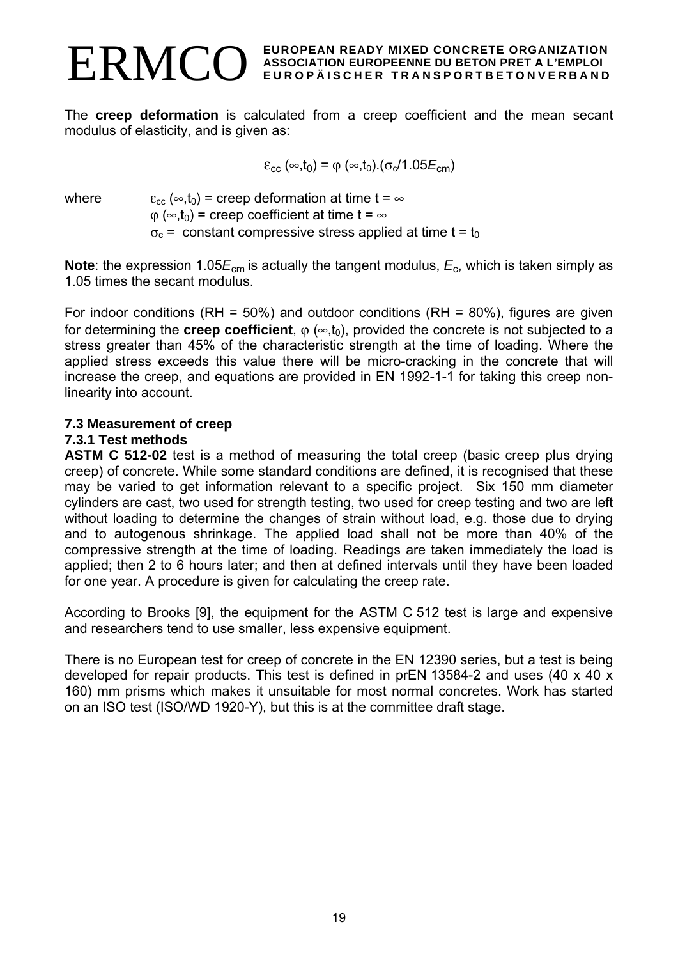The **creep deformation** is calculated from a creep coefficient and the mean secant modulus of elasticity, and is given as:

$$
\varepsilon_{cc} \left( \infty, t_0 \right) = \varphi \left( \infty, t_0 \right) . (\sigma_c/1.05E_{cm})
$$

where  $\varepsilon_{cc} (\infty,t_0)$  = creep deformation at time t =  $\infty$  $\varphi(\infty,t_0)$  = creep coefficient at time t =  $\infty$  $\sigma_c$  = constant compressive stress applied at time t = t<sub>0</sub>

**Note**: the expression 1.05 $E_{cm}$  is actually the tangent modulus,  $E_c$ , which is taken simply as 1.05 times the secant modulus.

For indoor conditions (RH =  $50\%$ ) and outdoor conditions (RH =  $80\%$ ), figures are given for determining the **creep coefficient**,  $\varphi$  ( $\infty$ ,t<sub>0</sub>), provided the concrete is not subjected to a stress greater than 45% of the characteristic strength at the time of loading. Where the applied stress exceeds this value there will be micro-cracking in the concrete that will increase the creep, and equations are provided in EN 1992-1-1 for taking this creep nonlinearity into account.

# **7.3 Measurement of creep**

#### **7.3.1 Test methods**

**ASTM C 512-02** test is a method of measuring the total creep (basic creep plus drying creep) of concrete. While some standard conditions are defined, it is recognised that these may be varied to get information relevant to a specific project. Six 150 mm diameter cylinders are cast, two used for strength testing, two used for creep testing and two are left without loading to determine the changes of strain without load, e.g. those due to drying and to autogenous shrinkage. The applied load shall not be more than 40% of the compressive strength at the time of loading. Readings are taken immediately the load is applied; then 2 to 6 hours later; and then at defined intervals until they have been loaded for one year. A procedure is given for calculating the creep rate.

According to Brooks [9], the equipment for the ASTM C 512 test is large and expensive and researchers tend to use smaller, less expensive equipment.

There is no European test for creep of concrete in the EN 12390 series, but a test is being developed for repair products. This test is defined in prEN 13584-2 and uses (40 x 40 x 160) mm prisms which makes it unsuitable for most normal concretes. Work has started on an ISO test (ISO/WD 1920-Y), but this is at the committee draft stage.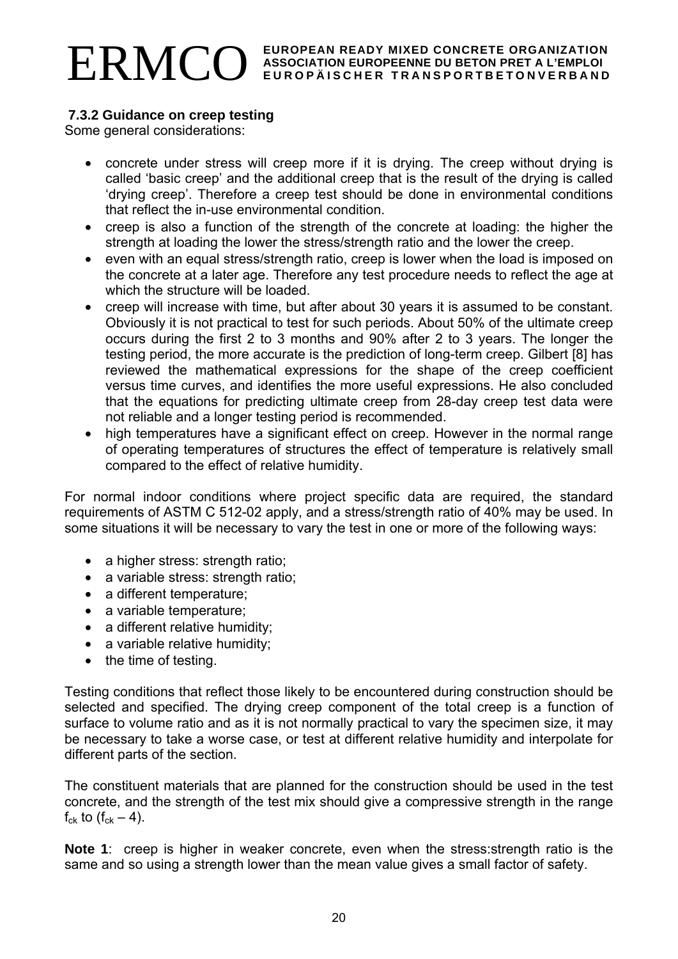# **7.3.2 Guidance on creep testing**

Some general considerations:

- concrete under stress will creep more if it is drying. The creep without drying is called 'basic creep' and the additional creep that is the result of the drying is called 'drying creep'. Therefore a creep test should be done in environmental conditions that reflect the in-use environmental condition.
- creep is also a function of the strength of the concrete at loading: the higher the strength at loading the lower the stress/strength ratio and the lower the creep.
- even with an equal stress/strength ratio, creep is lower when the load is imposed on the concrete at a later age. Therefore any test procedure needs to reflect the age at which the structure will be loaded.
- creep will increase with time, but after about 30 years it is assumed to be constant. Obviously it is not practical to test for such periods. About 50% of the ultimate creep occurs during the first 2 to 3 months and 90% after 2 to 3 years. The longer the testing period, the more accurate is the prediction of long-term creep. Gilbert [8] has reviewed the mathematical expressions for the shape of the creep coefficient versus time curves, and identifies the more useful expressions. He also concluded that the equations for predicting ultimate creep from 28-day creep test data were not reliable and a longer testing period is recommended.
- high temperatures have a significant effect on creep. However in the normal range of operating temperatures of structures the effect of temperature is relatively small compared to the effect of relative humidity.

For normal indoor conditions where project specific data are required, the standard requirements of ASTM C 512-02 apply, and a stress/strength ratio of 40% may be used. In some situations it will be necessary to vary the test in one or more of the following ways:

- a higher stress: strength ratio;
- a variable stress: strength ratio;
- a different temperature;
- a variable temperature;
- a different relative humidity;
- a variable relative humidity;
- the time of testing.

Testing conditions that reflect those likely to be encountered during construction should be selected and specified. The drying creep component of the total creep is a function of surface to volume ratio and as it is not normally practical to vary the specimen size, it may be necessary to take a worse case, or test at different relative humidity and interpolate for different parts of the section.

The constituent materials that are planned for the construction should be used in the test concrete, and the strength of the test mix should give a compressive strength in the range  $f_{ck}$  to  $(f_{ck} - 4)$ .

**Note 1**: creep is higher in weaker concrete, even when the stress:strength ratio is the same and so using a strength lower than the mean value gives a small factor of safety.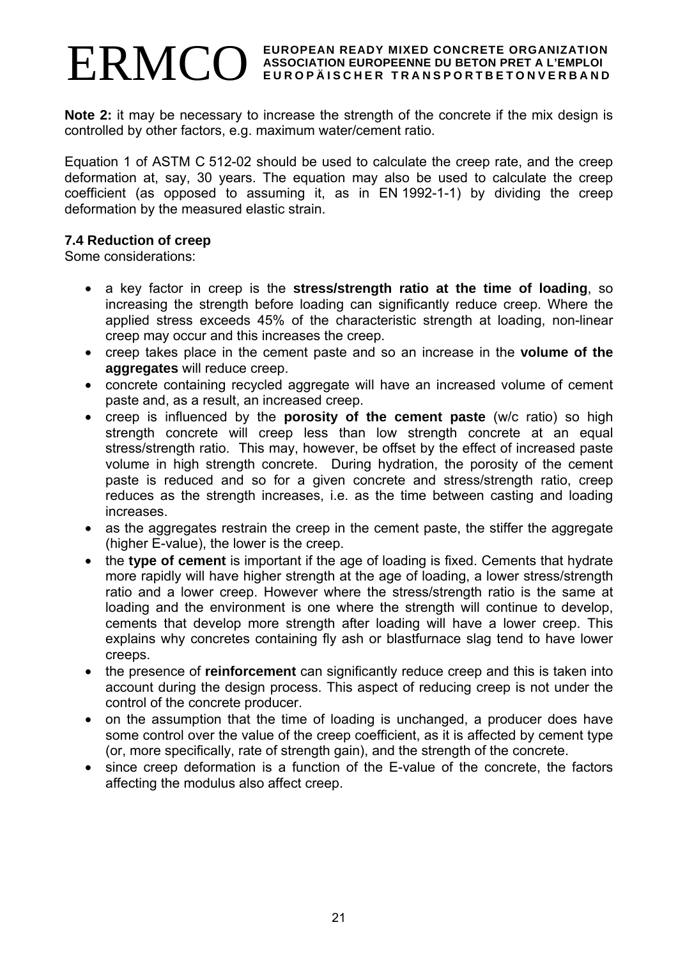**Note 2:** it may be necessary to increase the strength of the concrete if the mix design is controlled by other factors, e.g. maximum water/cement ratio.

Equation 1 of ASTM C 512-02 should be used to calculate the creep rate, and the creep deformation at, say, 30 years. The equation may also be used to calculate the creep coefficient (as opposed to assuming it, as in EN 1992-1-1) by dividing the creep deformation by the measured elastic strain.

#### **7.4 Reduction of creep**

Some considerations:

- a key factor in creep is the **stress/strength ratio at the time of loading**, so increasing the strength before loading can significantly reduce creep. Where the applied stress exceeds 45% of the characteristic strength at loading, non-linear creep may occur and this increases the creep.
- creep takes place in the cement paste and so an increase in the **volume of the aggregates** will reduce creep.
- concrete containing recycled aggregate will have an increased volume of cement paste and, as a result, an increased creep.
- creep is influenced by the **porosity of the cement paste** (w/c ratio) so high strength concrete will creep less than low strength concrete at an equal stress/strength ratio. This may, however, be offset by the effect of increased paste volume in high strength concrete. During hydration, the porosity of the cement paste is reduced and so for a given concrete and stress/strength ratio, creep reduces as the strength increases, i.e. as the time between casting and loading increases.
- as the aggregates restrain the creep in the cement paste, the stiffer the aggregate (higher E-value), the lower is the creep.
- the **type of cement** is important if the age of loading is fixed. Cements that hydrate more rapidly will have higher strength at the age of loading, a lower stress/strength ratio and a lower creep. However where the stress/strength ratio is the same at loading and the environment is one where the strength will continue to develop, cements that develop more strength after loading will have a lower creep. This explains why concretes containing fly ash or blastfurnace slag tend to have lower creeps.
- the presence of **reinforcement** can significantly reduce creep and this is taken into account during the design process. This aspect of reducing creep is not under the control of the concrete producer.
- on the assumption that the time of loading is unchanged, a producer does have some control over the value of the creep coefficient, as it is affected by cement type (or, more specifically, rate of strength gain), and the strength of the concrete.
- since creep deformation is a function of the E-value of the concrete, the factors affecting the modulus also affect creep.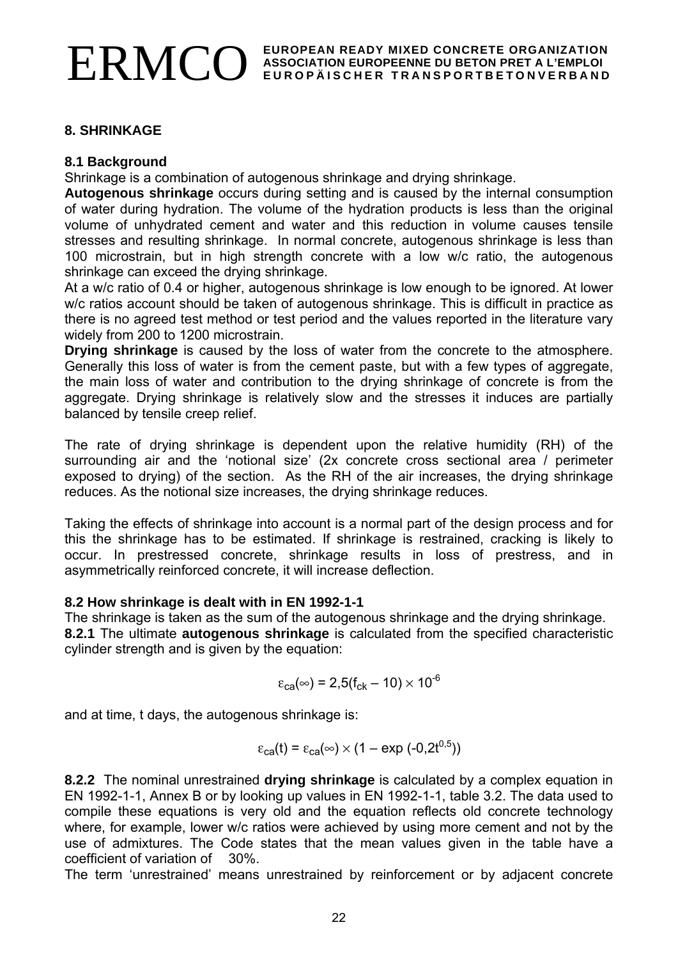# **8. SHRINKAGE**

# **8.1 Background**

Shrinkage is a combination of autogenous shrinkage and drying shrinkage.

**Autogenous shrinkage** occurs during setting and is caused by the internal consumption of water during hydration. The volume of the hydration products is less than the original volume of unhydrated cement and water and this reduction in volume causes tensile stresses and resulting shrinkage. In normal concrete, autogenous shrinkage is less than 100 microstrain, but in high strength concrete with a low w/c ratio, the autogenous shrinkage can exceed the drying shrinkage.

At a w/c ratio of 0.4 or higher, autogenous shrinkage is low enough to be ignored. At lower w/c ratios account should be taken of autogenous shrinkage. This is difficult in practice as there is no agreed test method or test period and the values reported in the literature vary widely from 200 to 1200 microstrain.

**Drying shrinkage** is caused by the loss of water from the concrete to the atmosphere. Generally this loss of water is from the cement paste, but with a few types of aggregate, the main loss of water and contribution to the drying shrinkage of concrete is from the aggregate. Drying shrinkage is relatively slow and the stresses it induces are partially balanced by tensile creep relief.

The rate of drying shrinkage is dependent upon the relative humidity (RH) of the surrounding air and the 'notional size' (2x concrete cross sectional area / perimeter exposed to drying) of the section. As the RH of the air increases, the drying shrinkage reduces. As the notional size increases, the drying shrinkage reduces.

Taking the effects of shrinkage into account is a normal part of the design process and for this the shrinkage has to be estimated. If shrinkage is restrained, cracking is likely to occur. In prestressed concrete, shrinkage results in loss of prestress, and in asymmetrically reinforced concrete, it will increase deflection.

# **8.2 How shrinkage is dealt with in EN 1992-1-1**

The shrinkage is taken as the sum of the autogenous shrinkage and the drying shrinkage. **8.2.1** The ultimate **autogenous shrinkage** is calculated from the specified characteristic cylinder strength and is given by the equation:

$$
\varepsilon_{\text{ca}}(\infty) = 2,5(f_{\text{ck}}-10) \times 10^{-6}
$$

and at time, t days, the autogenous shrinkage is:

$$
\varepsilon_{\text{ca}}(t) = \varepsilon_{\text{ca}}(\infty) \times (1 - \exp(-0.2t^{0.5}))
$$

**8.2.2** The nominal unrestrained **drying shrinkage** is calculated by a complex equation in EN 1992-1-1, Annex B or by looking up values in EN 1992-1-1, table 3.2. The data used to compile these equations is very old and the equation reflects old concrete technology where, for example, lower w/c ratios were achieved by using more cement and not by the use of admixtures. The Code states that the mean values given in the table have a coefficient of variation of 30%.

The term 'unrestrained' means unrestrained by reinforcement or by adjacent concrete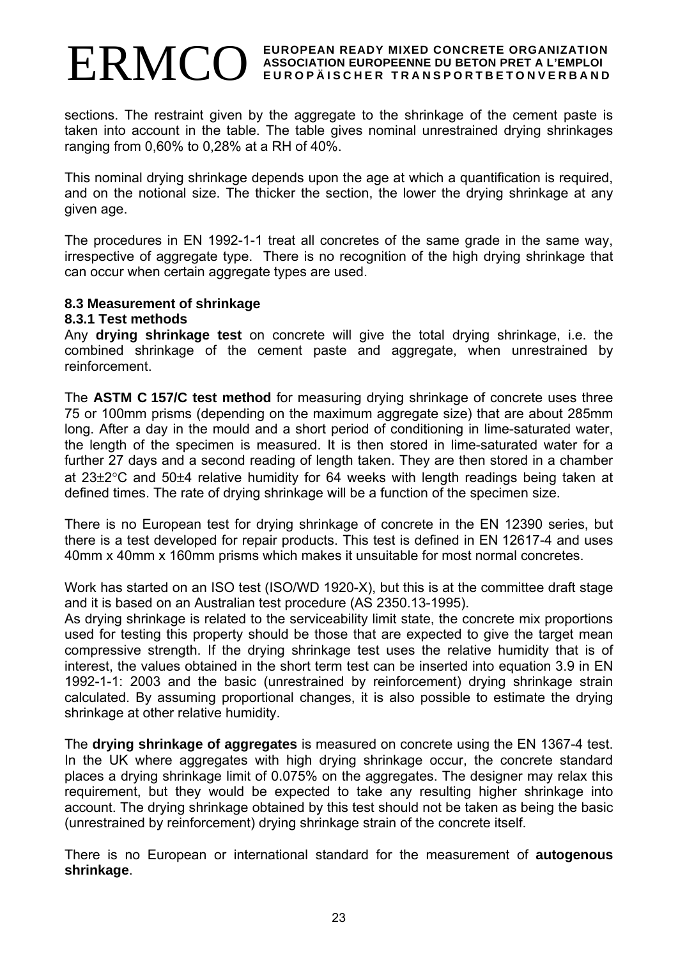sections. The restraint given by the aggregate to the shrinkage of the cement paste is taken into account in the table. The table gives nominal unrestrained drying shrinkages ranging from 0,60% to 0,28% at a RH of 40%.

This nominal drying shrinkage depends upon the age at which a quantification is required, and on the notional size. The thicker the section, the lower the drying shrinkage at any given age.

The procedures in EN 1992-1-1 treat all concretes of the same grade in the same way, irrespective of aggregate type. There is no recognition of the high drying shrinkage that can occur when certain aggregate types are used.

#### **8.3 Measurement of shrinkage**

#### **8.3.1 Test methods**

Any **drying shrinkage test** on concrete will give the total drying shrinkage, i.e. the combined shrinkage of the cement paste and aggregate, when unrestrained by reinforcement.

The **ASTM C 157/C test method** for measuring drying shrinkage of concrete uses three 75 or 100mm prisms (depending on the maximum aggregate size) that are about 285mm long. After a day in the mould and a short period of conditioning in lime-saturated water, the length of the specimen is measured. It is then stored in lime-saturated water for a further 27 days and a second reading of length taken. They are then stored in a chamber at 23±2°C and 50±4 relative humidity for 64 weeks with length readings being taken at defined times. The rate of drying shrinkage will be a function of the specimen size.

There is no European test for drying shrinkage of concrete in the EN 12390 series, but there is a test developed for repair products. This test is defined in EN 12617-4 and uses 40mm x 40mm x 160mm prisms which makes it unsuitable for most normal concretes.

Work has started on an ISO test (ISO/WD 1920-X), but this is at the committee draft stage and it is based on an Australian test procedure (AS 2350.13-1995).

As drying shrinkage is related to the serviceability limit state, the concrete mix proportions used for testing this property should be those that are expected to give the target mean compressive strength. If the drying shrinkage test uses the relative humidity that is of interest, the values obtained in the short term test can be inserted into equation 3.9 in EN 1992-1-1: 2003 and the basic (unrestrained by reinforcement) drying shrinkage strain calculated. By assuming proportional changes, it is also possible to estimate the drying shrinkage at other relative humidity.

The **drying shrinkage of aggregates** is measured on concrete using the EN 1367-4 test. In the UK where aggregates with high drying shrinkage occur, the concrete standard places a drying shrinkage limit of 0.075% on the aggregates. The designer may relax this requirement, but they would be expected to take any resulting higher shrinkage into account. The drying shrinkage obtained by this test should not be taken as being the basic (unrestrained by reinforcement) drying shrinkage strain of the concrete itself.

There is no European or international standard for the measurement of **autogenous shrinkage**.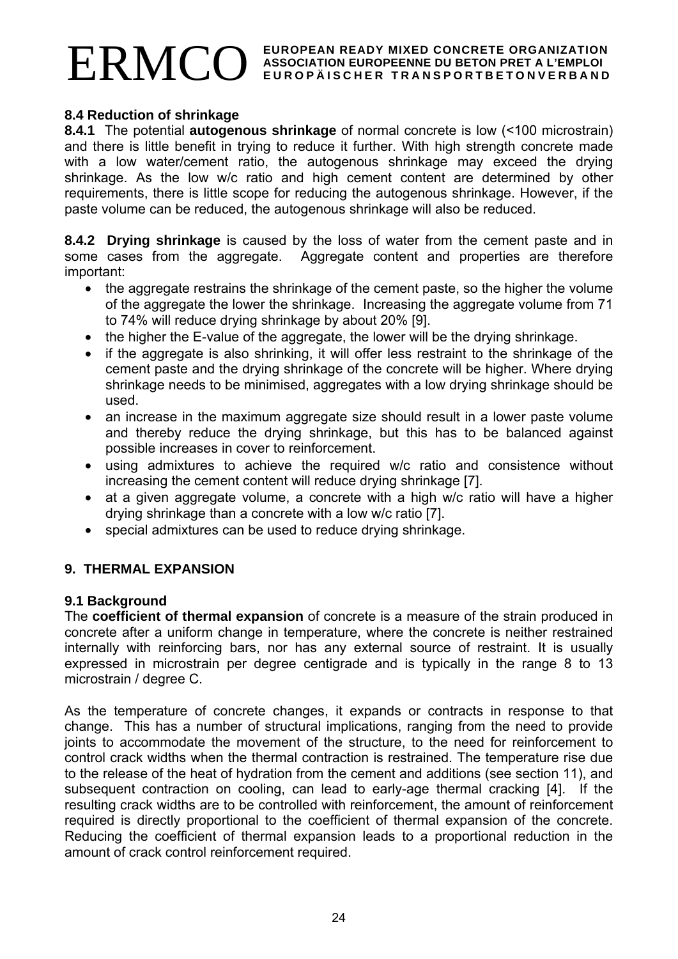#### **8.4 Reduction of shrinkage**

**8.4.1** The potential **autogenous shrinkage** of normal concrete is low (<100 microstrain) and there is little benefit in trying to reduce it further. With high strength concrete made with a low water/cement ratio, the autogenous shrinkage may exceed the drying shrinkage. As the low w/c ratio and high cement content are determined by other requirements, there is little scope for reducing the autogenous shrinkage. However, if the paste volume can be reduced, the autogenous shrinkage will also be reduced.

**8.4.2 Drying shrinkage** is caused by the loss of water from the cement paste and in some cases from the aggregate. Aggregate content and properties are therefore important:

- the aggregate restrains the shrinkage of the cement paste, so the higher the volume of the aggregate the lower the shrinkage. Increasing the aggregate volume from 71 to 74% will reduce drying shrinkage by about 20% [9].
- the higher the E-value of the aggregate, the lower will be the drying shrinkage.
- if the aggregate is also shrinking, it will offer less restraint to the shrinkage of the cement paste and the drying shrinkage of the concrete will be higher. Where drying shrinkage needs to be minimised, aggregates with a low drying shrinkage should be used.
- an increase in the maximum aggregate size should result in a lower paste volume and thereby reduce the drying shrinkage, but this has to be balanced against possible increases in cover to reinforcement.
- using admixtures to achieve the required w/c ratio and consistence without increasing the cement content will reduce drying shrinkage [7].
- at a given aggregate volume, a concrete with a high w/c ratio will have a higher drying shrinkage than a concrete with a low w/c ratio [7].
- special admixtures can be used to reduce drying shrinkage.

# **9. THERMAL EXPANSION**

#### **9.1 Background**

The **coefficient of thermal expansion** of concrete is a measure of the strain produced in concrete after a uniform change in temperature, where the concrete is neither restrained internally with reinforcing bars, nor has any external source of restraint. It is usually expressed in microstrain per degree centigrade and is typically in the range 8 to 13 microstrain / degree C.

As the temperature of concrete changes, it expands or contracts in response to that change. This has a number of structural implications, ranging from the need to provide joints to accommodate the movement of the structure, to the need for reinforcement to control crack widths when the thermal contraction is restrained. The temperature rise due to the release of the heat of hydration from the cement and additions (see section 11), and subsequent contraction on cooling, can lead to early-age thermal cracking [4]. If the resulting crack widths are to be controlled with reinforcement, the amount of reinforcement required is directly proportional to the coefficient of thermal expansion of the concrete. Reducing the coefficient of thermal expansion leads to a proportional reduction in the amount of crack control reinforcement required.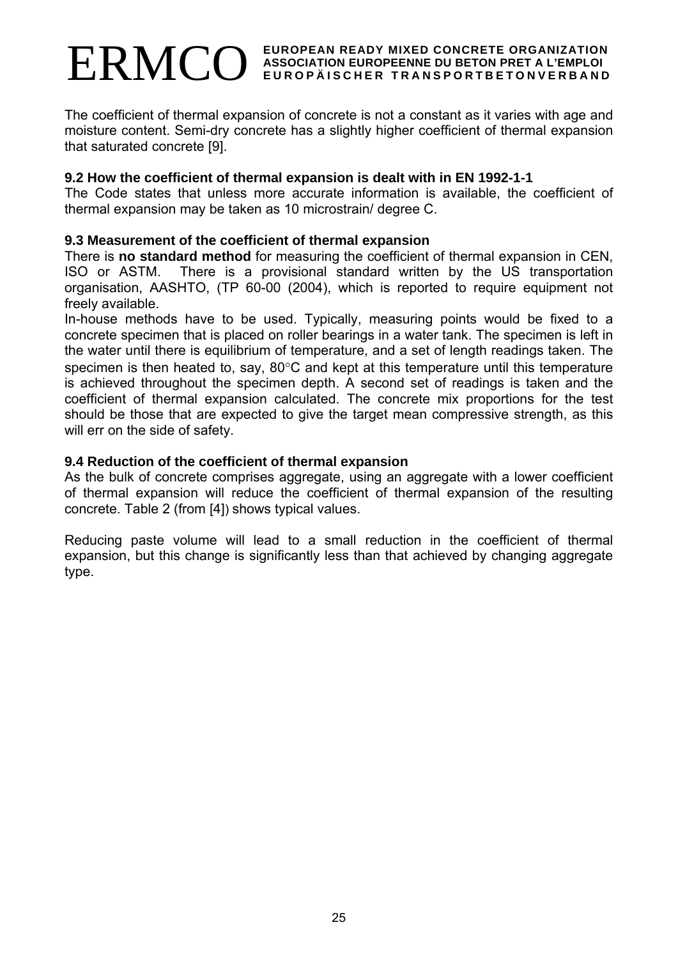The coefficient of thermal expansion of concrete is not a constant as it varies with age and moisture content. Semi-dry concrete has a slightly higher coefficient of thermal expansion that saturated concrete [9].

#### **9.2 How the coefficient of thermal expansion is dealt with in EN 1992-1-1**

The Code states that unless more accurate information is available, the coefficient of thermal expansion may be taken as 10 microstrain/ degree C.

#### **9.3 Measurement of the coefficient of thermal expansion**

There is **no standard method** for measuring the coefficient of thermal expansion in CEN, ISO or ASTM. There is a provisional standard written by the US transportation organisation, AASHTO, (TP 60-00 (2004), which is reported to require equipment not freely available.

In-house methods have to be used. Typically, measuring points would be fixed to a concrete specimen that is placed on roller bearings in a water tank. The specimen is left in the water until there is equilibrium of temperature, and a set of length readings taken. The specimen is then heated to, say, 80°C and kept at this temperature until this temperature is achieved throughout the specimen depth. A second set of readings is taken and the coefficient of thermal expansion calculated. The concrete mix proportions for the test should be those that are expected to give the target mean compressive strength, as this will err on the side of safety.

#### **9.4 Reduction of the coefficient of thermal expansion**

As the bulk of concrete comprises aggregate, using an aggregate with a lower coefficient of thermal expansion will reduce the coefficient of thermal expansion of the resulting concrete. Table 2 (from [4]) shows typical values.

Reducing paste volume will lead to a small reduction in the coefficient of thermal expansion, but this change is significantly less than that achieved by changing aggregate type.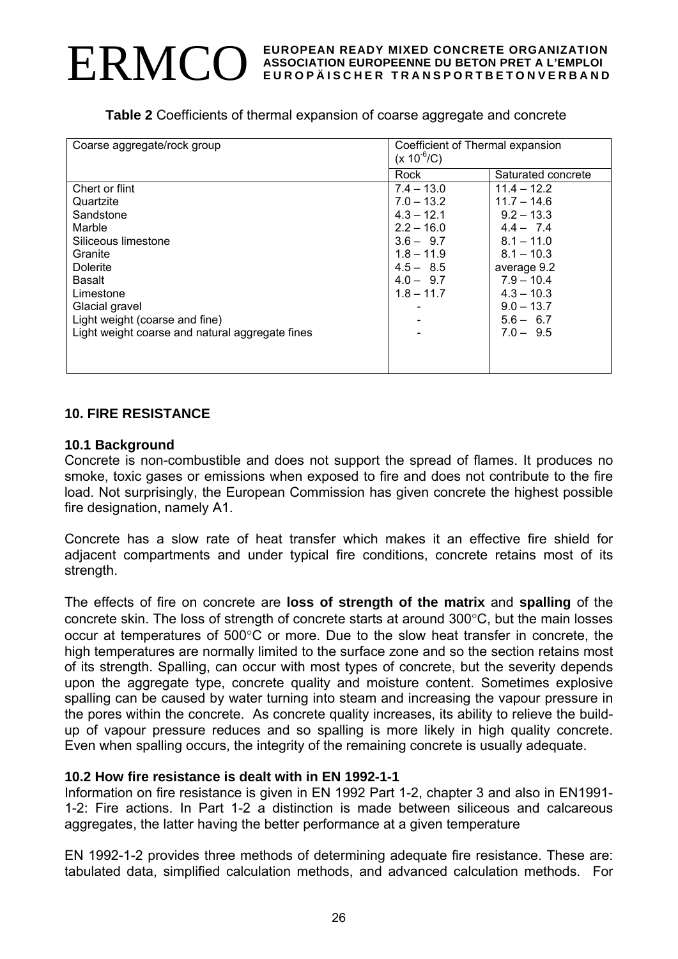**Table 2** Coefficients of thermal expansion of coarse aggregate and concrete

| Coarse aggregate/rock group                     | Coefficient of Thermal expansion<br>$(x 10^{-6}/C)$ |                    |  |
|-------------------------------------------------|-----------------------------------------------------|--------------------|--|
|                                                 | Rock                                                | Saturated concrete |  |
| Chert or flint                                  | $7.4 - 13.0$                                        | $11.4 - 12.2$      |  |
| Quartzite                                       | $7.0 - 13.2$                                        | $11.7 - 14.6$      |  |
| Sandstone                                       | $4.3 - 12.1$                                        | $9.2 - 13.3$       |  |
| Marble                                          | $2.2 - 16.0$                                        | $4.4 - 7.4$        |  |
| Siliceous limestone                             | $3.6 - 9.7$                                         | $8.1 - 11.0$       |  |
| Granite                                         | $1.8 - 11.9$                                        | $8.1 - 10.3$       |  |
| <b>Dolerite</b>                                 | $4.5 - 8.5$                                         | average 9.2        |  |
| Basalt                                          | $4.0 - 9.7$                                         | $7.9 - 10.4$       |  |
| Limestone                                       | $1.8 - 11.7$                                        | $4.3 - 10.3$       |  |
| Glacial gravel                                  |                                                     | $9.0 - 13.7$       |  |
| Light weight (coarse and fine)                  |                                                     | $5.6 - 6.7$        |  |
| Light weight coarse and natural aggregate fines |                                                     | $7.0 - 9.5$        |  |
|                                                 |                                                     |                    |  |
|                                                 |                                                     |                    |  |
|                                                 |                                                     |                    |  |

#### **10. FIRE RESISTANCE**

#### **10.1 Background**

Concrete is non-combustible and does not support the spread of flames. It produces no smoke, toxic gases or emissions when exposed to fire and does not contribute to the fire load. Not surprisingly, the European Commission has given concrete the highest possible fire designation, namely A1.

Concrete has a slow rate of heat transfer which makes it an effective fire shield for adjacent compartments and under typical fire conditions, concrete retains most of its strength.

The effects of fire on concrete are **loss of strength of the matrix** and **spalling** of the concrete skin. The loss of strength of concrete starts at around 300°C, but the main losses occur at temperatures of 500°C or more. Due to the slow heat transfer in concrete, the high temperatures are normally limited to the surface zone and so the section retains most of its strength. Spalling, can occur with most types of concrete, but the severity depends upon the aggregate type, concrete quality and moisture content. Sometimes explosive spalling can be caused by water turning into steam and increasing the vapour pressure in the pores within the concrete. As concrete quality increases, its ability to relieve the buildup of vapour pressure reduces and so spalling is more likely in high quality concrete. Even when spalling occurs, the integrity of the remaining concrete is usually adequate.

# **10.2 How fire resistance is dealt with in EN 1992-1-1**

Information on fire resistance is given in EN 1992 Part 1-2, chapter 3 and also in EN1991- 1-2: Fire actions. In Part 1-2 a distinction is made between siliceous and calcareous aggregates, the latter having the better performance at a given temperature

EN 1992-1-2 provides three methods of determining adequate fire resistance. These are: tabulated data, simplified calculation methods, and advanced calculation methods. For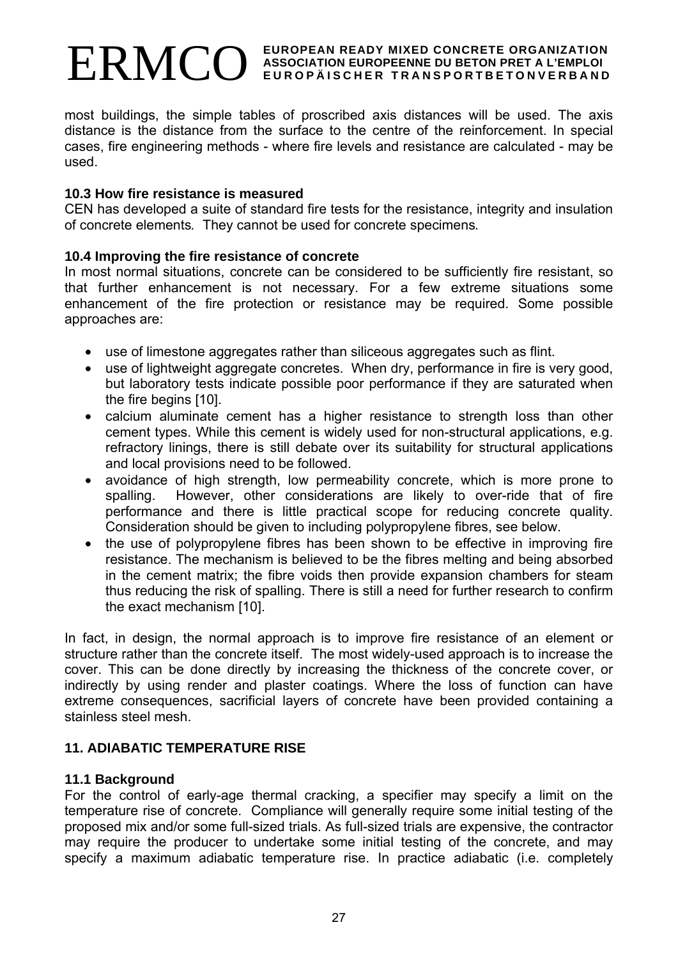most buildings, the simple tables of proscribed axis distances will be used. The axis distance is the distance from the surface to the centre of the reinforcement. In special cases, fire engineering methods - where fire levels and resistance are calculated - may be used.

#### **10.3 How fire resistance is measured**

CEN has developed a suite of standard fire tests for the resistance, integrity and insulation of concrete elements*.* They cannot be used for concrete specimens*.* 

#### **10.4 Improving the fire resistance of concrete**

In most normal situations, concrete can be considered to be sufficiently fire resistant, so that further enhancement is not necessary. For a few extreme situations some enhancement of the fire protection or resistance may be required. Some possible approaches are:

- use of limestone aggregates rather than siliceous aggregates such as flint.
- use of lightweight aggregate concretes. When dry, performance in fire is very good, but laboratory tests indicate possible poor performance if they are saturated when the fire begins [10].
- calcium aluminate cement has a higher resistance to strength loss than other cement types. While this cement is widely used for non-structural applications, e.g. refractory linings, there is still debate over its suitability for structural applications and local provisions need to be followed.
- avoidance of high strength, low permeability concrete, which is more prone to spalling. However, other considerations are likely to over-ride that of fire performance and there is little practical scope for reducing concrete quality. Consideration should be given to including polypropylene fibres, see below.
- the use of polypropylene fibres has been shown to be effective in improving fire resistance. The mechanism is believed to be the fibres melting and being absorbed in the cement matrix; the fibre voids then provide expansion chambers for steam thus reducing the risk of spalling. There is still a need for further research to confirm the exact mechanism [10].

In fact, in design, the normal approach is to improve fire resistance of an element or structure rather than the concrete itself. The most widely-used approach is to increase the cover. This can be done directly by increasing the thickness of the concrete cover, or indirectly by using render and plaster coatings. Where the loss of function can have extreme consequences, sacrificial layers of concrete have been provided containing a stainless steel mesh.

#### **11. ADIABATIC TEMPERATURE RISE**

#### **11.1 Background**

For the control of early-age thermal cracking, a specifier may specify a limit on the temperature rise of concrete. Compliance will generally require some initial testing of the proposed mix and/or some full-sized trials. As full-sized trials are expensive, the contractor may require the producer to undertake some initial testing of the concrete, and may specify a maximum adiabatic temperature rise. In practice adiabatic (i.e. completely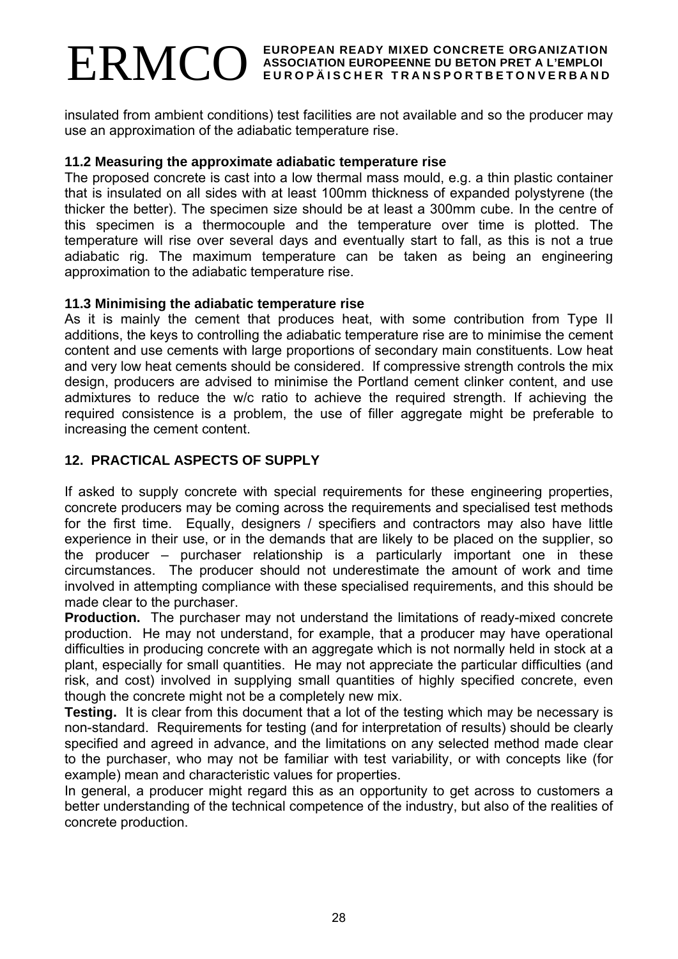insulated from ambient conditions) test facilities are not available and so the producer may use an approximation of the adiabatic temperature rise.

#### **11.2 Measuring the approximate adiabatic temperature rise**

The proposed concrete is cast into a low thermal mass mould, e.g. a thin plastic container that is insulated on all sides with at least 100mm thickness of expanded polystyrene (the thicker the better). The specimen size should be at least a 300mm cube. In the centre of this specimen is a thermocouple and the temperature over time is plotted. The temperature will rise over several days and eventually start to fall, as this is not a true adiabatic rig. The maximum temperature can be taken as being an engineering approximation to the adiabatic temperature rise.

#### **11.3 Minimising the adiabatic temperature rise**

As it is mainly the cement that produces heat, with some contribution from Type II additions, the keys to controlling the adiabatic temperature rise are to minimise the cement content and use cements with large proportions of secondary main constituents. Low heat and very low heat cements should be considered. If compressive strength controls the mix design, producers are advised to minimise the Portland cement clinker content, and use admixtures to reduce the w/c ratio to achieve the required strength. If achieving the required consistence is a problem, the use of filler aggregate might be preferable to increasing the cement content.

# **12. PRACTICAL ASPECTS OF SUPPLY**

If asked to supply concrete with special requirements for these engineering properties, concrete producers may be coming across the requirements and specialised test methods for the first time. Equally, designers / specifiers and contractors may also have little experience in their use, or in the demands that are likely to be placed on the supplier, so the producer – purchaser relationship is a particularly important one in these circumstances. The producer should not underestimate the amount of work and time involved in attempting compliance with these specialised requirements, and this should be made clear to the purchaser.

**Production.** The purchaser may not understand the limitations of ready-mixed concrete production. He may not understand, for example, that a producer may have operational difficulties in producing concrete with an aggregate which is not normally held in stock at a plant, especially for small quantities. He may not appreciate the particular difficulties (and risk, and cost) involved in supplying small quantities of highly specified concrete, even though the concrete might not be a completely new mix.

**Testing.** It is clear from this document that a lot of the testing which may be necessary is non-standard. Requirements for testing (and for interpretation of results) should be clearly specified and agreed in advance, and the limitations on any selected method made clear to the purchaser, who may not be familiar with test variability, or with concepts like (for example) mean and characteristic values for properties.

In general, a producer might regard this as an opportunity to get across to customers a better understanding of the technical competence of the industry, but also of the realities of concrete production.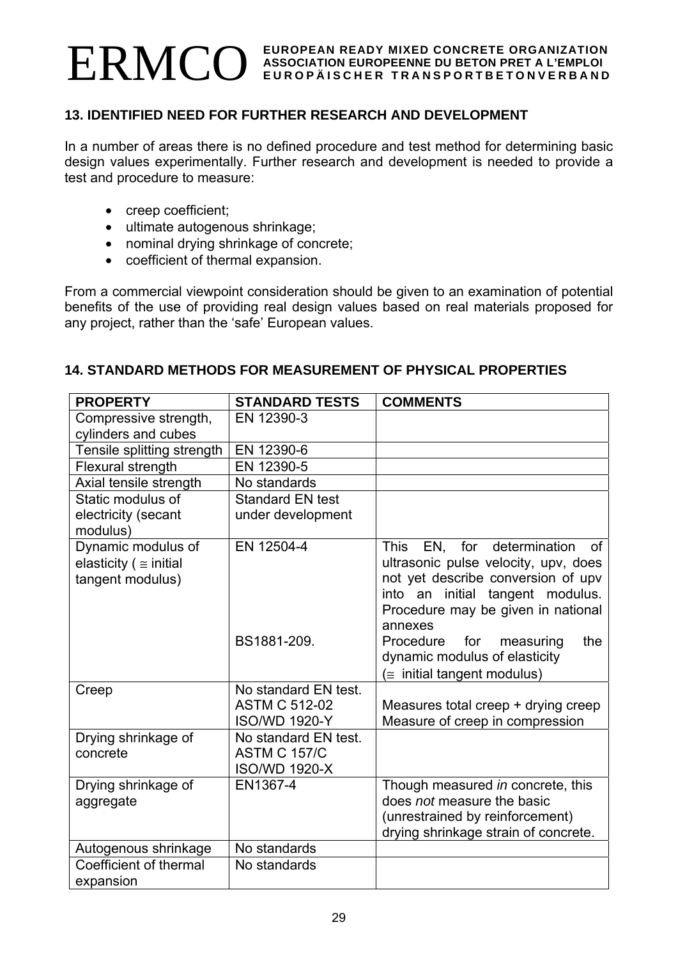# **13. IDENTIFIED NEED FOR FURTHER RESEARCH AND DEVELOPMENT**

In a number of areas there is no defined procedure and test method for determining basic design values experimentally. Further research and development is needed to provide a test and procedure to measure:

- creep coefficient;
- ultimate autogenous shrinkage;
- nominal drying shrinkage of concrete;
- coefficient of thermal expansion.

From a commercial viewpoint consideration should be given to an examination of potential benefits of the use of providing real design values based on real materials proposed for any project, rather than the 'safe' European values.

#### **14. STANDARD METHODS FOR MEASUREMENT OF PHYSICAL PROPERTIES**

| <b>PROPERTY</b>                 | <b>STANDARD TESTS</b>   | <b>COMMENTS</b>                                                       |
|---------------------------------|-------------------------|-----------------------------------------------------------------------|
| Compressive strength,           | EN 12390-3              |                                                                       |
| cylinders and cubes             |                         |                                                                       |
| Tensile splitting strength      | EN 12390-6              |                                                                       |
| Flexural strength               | EN 12390-5              |                                                                       |
| Axial tensile strength          | No standards            |                                                                       |
| Static modulus of               | <b>Standard EN test</b> |                                                                       |
| electricity (secant<br>modulus) | under development       |                                                                       |
| Dynamic modulus of              | EN 12504-4              | This EN, for determination<br>0f                                      |
| elasticity ( $\equiv$ initial   |                         | ultrasonic pulse velocity, upv, does                                  |
| tangent modulus)                |                         | not yet describe conversion of upv                                    |
|                                 |                         | into an initial tangent modulus.                                      |
|                                 |                         | Procedure may be given in national                                    |
|                                 |                         | annexes                                                               |
|                                 | BS1881-209.             | Procedure<br>the<br>for<br>measuring<br>dynamic modulus of elasticity |
|                                 |                         | $(\equiv$ initial tangent modulus)                                    |
| Creep                           | No standard EN test.    |                                                                       |
|                                 | <b>ASTM C 512-02</b>    | Measures total creep + drying creep                                   |
|                                 | <b>ISO/WD 1920-Y</b>    | Measure of creep in compression                                       |
| Drying shrinkage of             | No standard EN test.    |                                                                       |
| concrete                        | <b>ASTM C 157/C</b>     |                                                                       |
|                                 | <b>ISO/WD 1920-X</b>    |                                                                       |
| Drying shrinkage of             | EN1367-4                | Though measured in concrete, this                                     |
| aggregate                       |                         | does not measure the basic                                            |
|                                 |                         | (unrestrained by reinforcement)                                       |
|                                 |                         | drying shrinkage strain of concrete.                                  |
| Autogenous shrinkage            | No standards            |                                                                       |
| Coefficient of thermal          | No standards            |                                                                       |
| expansion                       |                         |                                                                       |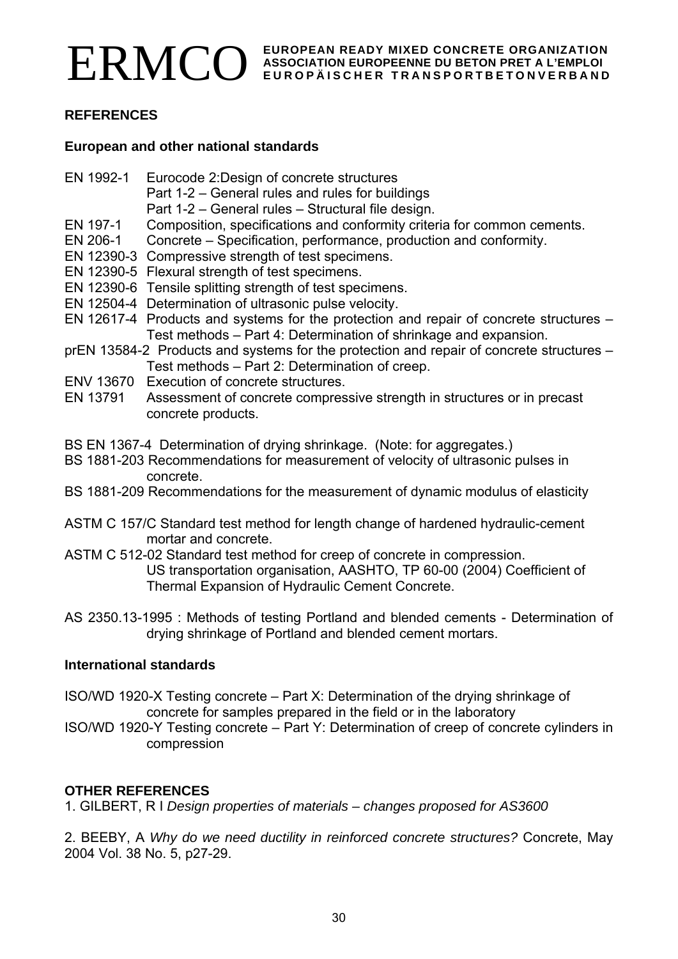

# **REFERENCES**

#### **European and other national standards**

- EN 1992-1 Eurocode 2:Design of concrete structures
	- Part 1-2 General rules and rules for buildings
		- Part 1-2 General rules Structural file design.
- EN 197-1 Composition, specifications and conformity criteria for common cements.
- EN 206-1 Concrete Specification, performance, production and conformity.
- EN 12390-3 Compressive strength of test specimens.
- EN 12390-5 Flexural strength of test specimens.
- EN 12390-6 Tensile splitting strength of test specimens.
- EN 12504-4 Determination of ultrasonic pulse velocity.
- EN 12617-4 Products and systems for the protection and repair of concrete structures Test methods – Part 4: Determination of shrinkage and expansion.
- prEN 13584-2 Products and systems for the protection and repair of concrete structures Test methods – Part 2: Determination of creep.
- ENV 13670 Execution of concrete structures.
- EN 13791 Assessment of concrete compressive strength in structures or in precast concrete products.
- BS EN 1367-4 Determination of drying shrinkage. (Note: for aggregates.)
- BS 1881-203 Recommendations for measurement of velocity of ultrasonic pulses in concrete.
- BS 1881-209 Recommendations for the measurement of dynamic modulus of elasticity
- ASTM C 157/C Standard test method for length change of hardened hydraulic-cement mortar and concrete.
- ASTM C 512-02 Standard test method for creep of concrete in compression. US transportation organisation, AASHTO, TP 60-00 (2004) Coefficient of Thermal Expansion of Hydraulic Cement Concrete.
- AS 2350.13-1995 : Methods of testing Portland and blended cements Determination of drying shrinkage of Portland and blended cement mortars.

# **International standards**

- ISO/WD 1920-X Testing concrete Part X: Determination of the drying shrinkage of concrete for samples prepared in the field or in the laboratory
- ISO/WD 1920-Y Testing concrete Part Y: Determination of creep of concrete cylinders in compression

# **OTHER REFERENCES**

1. GILBERT, R I *Design properties of materials – changes proposed for AS3600*

2. BEEBY, A *Why do we need ductility in reinforced concrete structures?* Concrete, May 2004 Vol. 38 No. 5, p27-29.